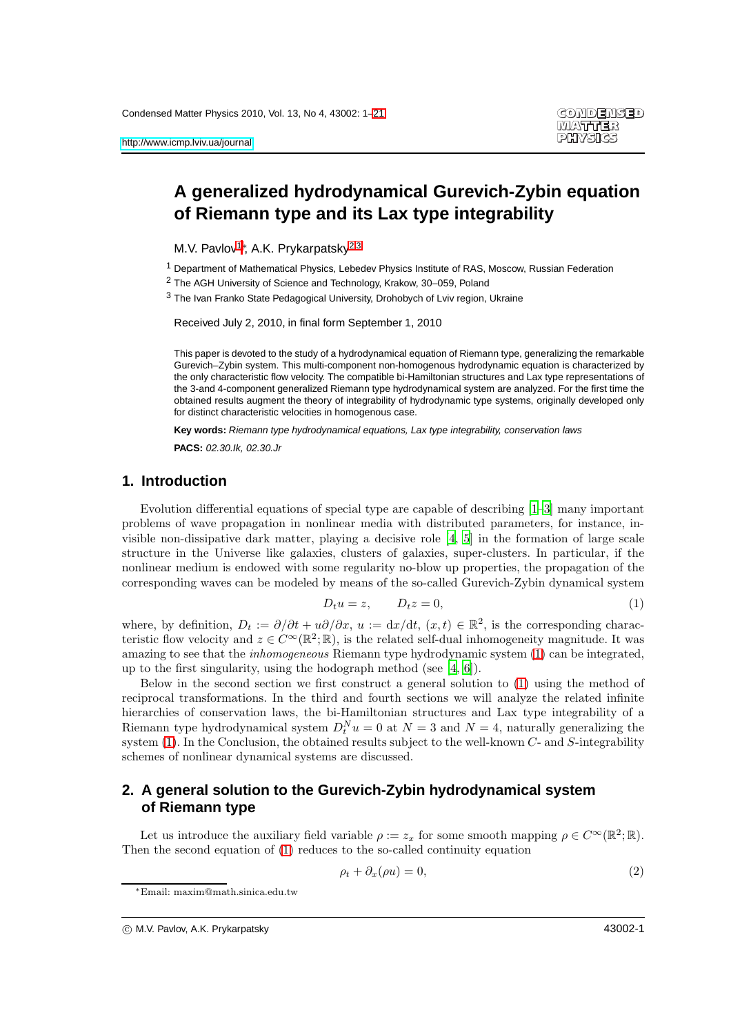# **A generalized hydrodynamical Gurevich-Zybin equation of Riemann type and its Lax type integrability**

<span id="page-0-0"></span>M.V. Pavlov<sup>[1](#page-0-0)</sup><sup>\*</sup>, A.K. Prykarpatsky<sup>[2](#page-0-1)[,3](#page-0-2)</sup>

<span id="page-0-1"></span><sup>1</sup> Department of Mathematical Physics, Lebedev Physics Institute of RAS, Moscow, Russian Federation

<span id="page-0-2"></span>2 The AGH University of Science and Technology, Krakow, 30–059, Poland

 $3$  The Ivan Franko State Pedagogical University, Drohobych of Lyiv region, Ukraine

Received July 2, 2010, in final form September 1, 2010

This paper is devoted to the study of a hydrodynamical equation of Riemann type, generalizing the remarkable Gurevich–Zybin system. This multi-component non-homogenous hydrodynamic equation is characterized by the only characteristic flow velocity. The compatible bi-Hamiltonian structures and Lax type representations of the 3-and 4-component generalized Riemann type hydrodynamical system are analyzed. For the first time the obtained results augment the theory of integrability of hydrodynamic type systems, originally developed only for distinct characteristic velocities in homogenous case.

**Key words:** Riemann type hydrodynamical equations, Lax type integrability, conservation laws

**PACS:** 02.30.Ik, 02.30.Jr

### **1. Introduction**

Evolution differential equations of special type are capable of describing [\[1](#page-19-0)[–3\]](#page-19-1) many important problems of wave propagation in nonlinear media with distributed parameters, for instance, invisible non-dissipative dark matter, playing a decisive role [\[4,](#page-19-2) [5](#page-19-3)] in the formation of large scale structure in the Universe like galaxies, clusters of galaxies, super-clusters. In particular, if the nonlinear medium is endowed with some regularity no-blow up properties, the propagation of the corresponding waves can be modeled by means of the so-called Gurevich-Zybin dynamical system

<span id="page-0-3"></span>
$$
D_t u = z, \qquad D_t z = 0,\tag{1}
$$

where, by definition,  $D_t := \partial/\partial t + u\partial/\partial x$ ,  $u := dx/dt$ ,  $(x, t) \in \mathbb{R}^2$ , is the corresponding characteristic flow velocity and  $z \in C^{\infty}(\mathbb{R}^2; \mathbb{R})$ , is the related self-dual inhomogeneity magnitude. It was amazing to see that the *inhomogeneous* Riemann type hydrodynamic system [\(1\)](#page-0-3) can be integrated, up to the first singularity, using the hodograph method (see [\[4,](#page-19-2) [6\]](#page-19-4)).

Below in the second section we first construct a general solution to [\(1\)](#page-0-3) using the method of reciprocal transformations. In the third and fourth sections we will analyze the related infinite hierarchies of conservation laws, the bi-Hamiltonian structures and Lax type integrability of a Riemann type hydrodynamical system  $D_t^N u = 0$  at  $N = 3$  and  $N = 4$ , naturally generalizing the system [\(1\)](#page-0-3). In the Conclusion, the obtained results subject to the well-known C- and S-integrability schemes of nonlinear dynamical systems are discussed.

# **2. A general solution to the Gurevich-Zybin hydrodynamical system of Riemann type**

Let us introduce the auxiliary field variable  $\rho := z_x$  for some smooth mapping  $\rho \in C^{\infty}(\mathbb{R}^2; \mathbb{R})$ . Then the second equation of [\(1\)](#page-0-3) reduces to the so-called continuity equation

<span id="page-0-4"></span>
$$
\rho_t + \partial_x(\rho u) = 0,\tag{2}
$$

<sup>∗</sup>Email: maxim@math.sinica.edu.tw

c M.V. Pavlov, A.K. Prykarpatsky 43002-1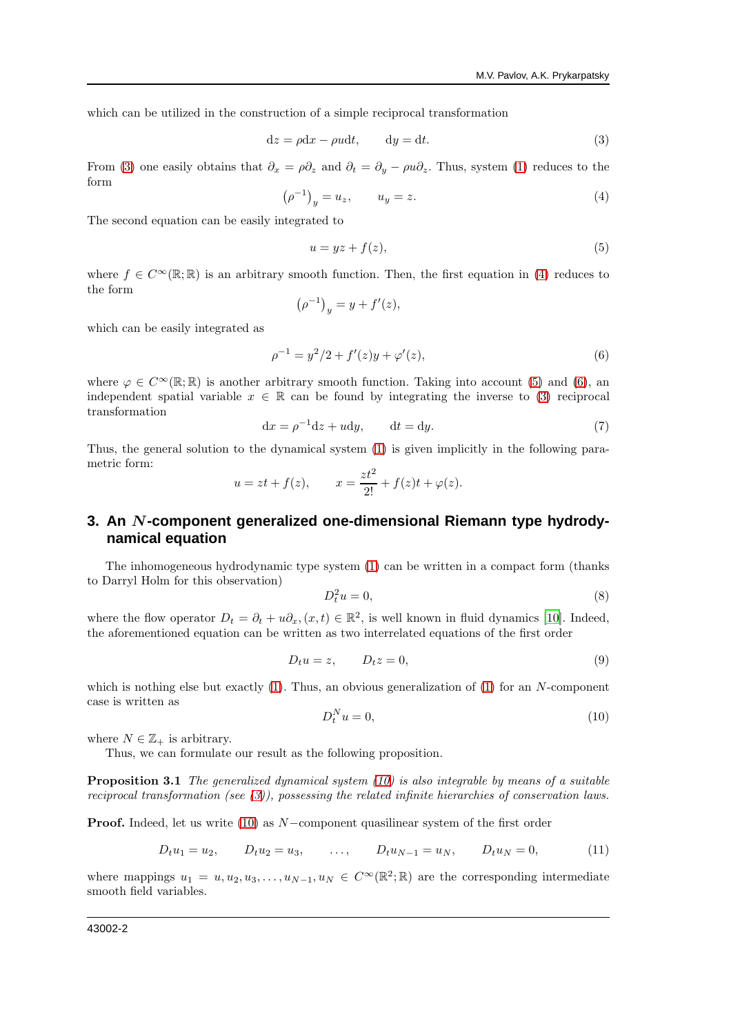which can be utilized in the construction of a simple reciprocal transformation

<span id="page-1-0"></span>
$$
dz = \rho dx - \rho u dt, \qquad dy = dt.
$$
 (3)

From [\(3\)](#page-1-0) one easily obtains that  $\partial_x = \rho \partial_z$  and  $\partial_t = \partial_y - \rho u \partial_z$ . Thus, system [\(1\)](#page-0-3) reduces to the form

<span id="page-1-1"></span>
$$
\left(\rho^{-1}\right)_y = u_z, \qquad u_y = z. \tag{4}
$$

The second equation can be easily integrated to

<span id="page-1-2"></span>
$$
u = yz + f(z),\tag{5}
$$

where  $f \in C^{\infty}(\mathbb{R};\mathbb{R})$  is an arbitrary smooth function. Then, the first equation in [\(4\)](#page-1-1) reduces to the form

$$
\left(\rho^{-1}\right)_y = y + f'(z),
$$

which can be easily integrated as

<span id="page-1-3"></span>
$$
\rho^{-1} = y^2/2 + f'(z)y + \varphi'(z),\tag{6}
$$

where  $\varphi \in C^{\infty}(\mathbb{R};\mathbb{R})$  is another arbitrary smooth function. Taking into account [\(5\)](#page-1-2) and [\(6\)](#page-1-3), an independent spatial variable  $x \in \mathbb{R}$  can be found by integrating the inverse to [\(3\)](#page-1-0) reciprocal transformation

<span id="page-1-6"></span>
$$
dx = \rho^{-1}dz + udy, \qquad dt = dy.
$$
 (7)

Thus, the general solution to the dynamical system [\(1\)](#page-0-3) is given implicitly in the following parametric form:

$$
u = zt + f(z)
$$
,  $x = \frac{zt^2}{2!} + f(z)t + \varphi(z)$ .

# **3. An** N**-component generalized one-dimensional Riemann type hydrodynamical equation**

The inhomogeneous hydrodynamic type system [\(1\)](#page-0-3) can be written in a compact form (thanks to Darryl Holm for this observation)

$$
D_t^2 u = 0,\t\t(8)
$$

where the flow operator  $D_t = \partial_t + u\partial_x$ ,  $(x, t) \in \mathbb{R}^2$ , is well known in fluid dynamics [\[10](#page-19-5)]. Indeed, the aforementioned equation can be written as two interrelated equations of the first order

$$
D_t u = z, \qquad D_t z = 0,\tag{9}
$$

which is nothing else but exactly  $(1)$ . Thus, an obvious generalization of  $(1)$  for an N-component case is written as

<span id="page-1-4"></span>
$$
D_t^N u = 0,\t\t(10)
$$

where  $N \in \mathbb{Z}_+$  is arbitrary.

Thus, we can formulate our result as the following proposition.

**Proposition 3.1** The generalized dynamical system  $(10)$  is also integrable by means of a suitable reciprocal transformation (see [\(3\)](#page-1-0)), possessing the related infinite hierarchies of conservation laws.

Proof. Indeed, let us write [\(10\)](#page-1-4) as N−component quasilinear system of the first order

<span id="page-1-5"></span>
$$
D_t u_1 = u_2, \qquad D_t u_2 = u_3, \qquad \dots, \qquad D_t u_{N-1} = u_N, \qquad D_t u_N = 0, \tag{11}
$$

where mappings  $u_1 = u, u_2, u_3, \ldots, u_{N-1}, u_N \in C^{\infty}(\mathbb{R}^2; \mathbb{R})$  are the corresponding intermediate smooth field variables.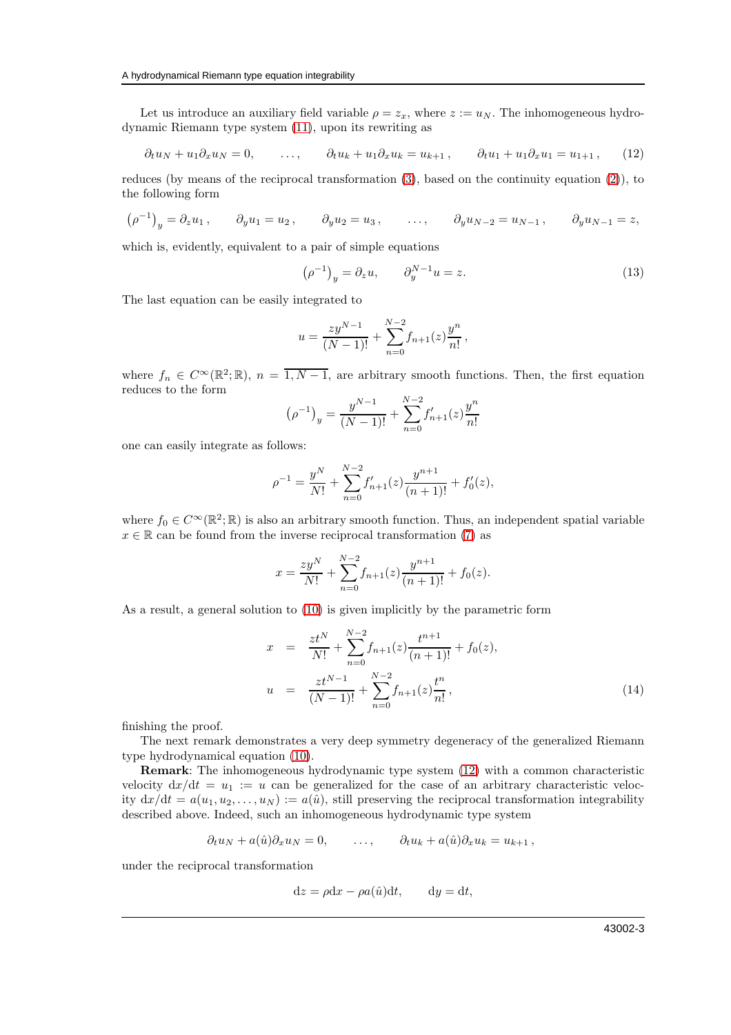Let us introduce an auxiliary field variable  $\rho = z_x$ , where  $z := u_N$ . The inhomogeneous hydrodynamic Riemann type system [\(11\)](#page-1-5), upon its rewriting as

<span id="page-2-0"></span>
$$
\partial_t u_N + u_1 \partial_x u_N = 0, \qquad \dots, \qquad \partial_t u_k + u_1 \partial_x u_k = u_{k+1}, \qquad \partial_t u_1 + u_1 \partial_x u_1 = u_{1+1}, \qquad (12)
$$

reduces (by means of the reciprocal transformation [\(3\)](#page-1-0), based on the continuity equation [\(2\)](#page-0-4)), to the following form

$$
(\rho^{-1})_y = \partial_z u_1
$$
,  $\partial_y u_1 = u_2$ ,  $\partial_y u_2 = u_3$ , ...,  $\partial_y u_{N-2} = u_{N-1}$ ,  $\partial_y u_{N-1} = z$ ,

which is, evidently, equivalent to a pair of simple equations

$$
\left(\rho^{-1}\right)_y = \partial_z u, \qquad \partial_y^{N-1} u = z. \tag{13}
$$

The last equation can be easily integrated to

$$
u = \frac{zy^{N-1}}{(N-1)!} + \sum_{n=0}^{N-2} f_{n+1}(z) \frac{y^n}{n!},
$$

where  $f_n \in C^{\infty}(\mathbb{R}^2;\mathbb{R}), n = \overline{1, N-1}$ , are arbitrary smooth functions. Then, the first equation reduces to the form

$$
\left(\rho^{-1}\right)_y = \frac{y^{N-1}}{(N-1)!} + \sum_{n=0}^{N-2} f'_{n+1}(z) \frac{y^n}{n!}
$$

one can easily integrate as follows:

$$
\rho^{-1} = \frac{y^N}{N!} + \sum_{n=0}^{N-2} f'_{n+1}(z) \frac{y^{n+1}}{(n+1)!} + f'_0(z),
$$

where  $f_0 \in C^{\infty}(\mathbb{R}^2;\mathbb{R})$  is also an arbitrary smooth function. Thus, an independent spatial variable  $x \in \mathbb{R}$  can be found from the inverse reciprocal transformation [\(7\)](#page-1-6) as

$$
x = \frac{zy^{N}}{N!} + \sum_{n=0}^{N-2} f_{n+1}(z) \frac{y^{n+1}}{(n+1)!} + f_0(z).
$$

As a result, a general solution to [\(10\)](#page-1-4) is given implicitly by the parametric form

<span id="page-2-1"></span>
$$
x = \frac{zt^N}{N!} + \sum_{n=0}^{N-2} f_{n+1}(z) \frac{t^{n+1}}{(n+1)!} + f_0(z),
$$
  

$$
u = \frac{zt^{N-1}}{(N-1)!} + \sum_{n=0}^{N-2} f_{n+1}(z) \frac{t^n}{n!},
$$
 (14)

finishing the proof.

The next remark demonstrates a very deep symmetry degeneracy of the generalized Riemann type hydrodynamical equation [\(10\)](#page-1-4).

Remark: The inhomogeneous hydrodynamic type system [\(12\)](#page-2-0) with a common characteristic velocity  $dx/dt = u_1 := u$  can be generalized for the case of an arbitrary characteristic velocity  $dx/dt = a(u_1, u_2, \dots, u_N) := a(\hat{u})$ , still preserving the reciprocal transformation integrability described above. Indeed, such an inhomogeneous hydrodynamic type system

$$
\partial_t u_N + a(\hat{u}) \partial_x u_N = 0, \qquad \ldots, \qquad \partial_t u_k + a(\hat{u}) \partial_x u_k = u_{k+1},
$$

under the reciprocal transformation

$$
dz = \rho dx - \rho a(\hat{u})dt, \qquad dy = dt,
$$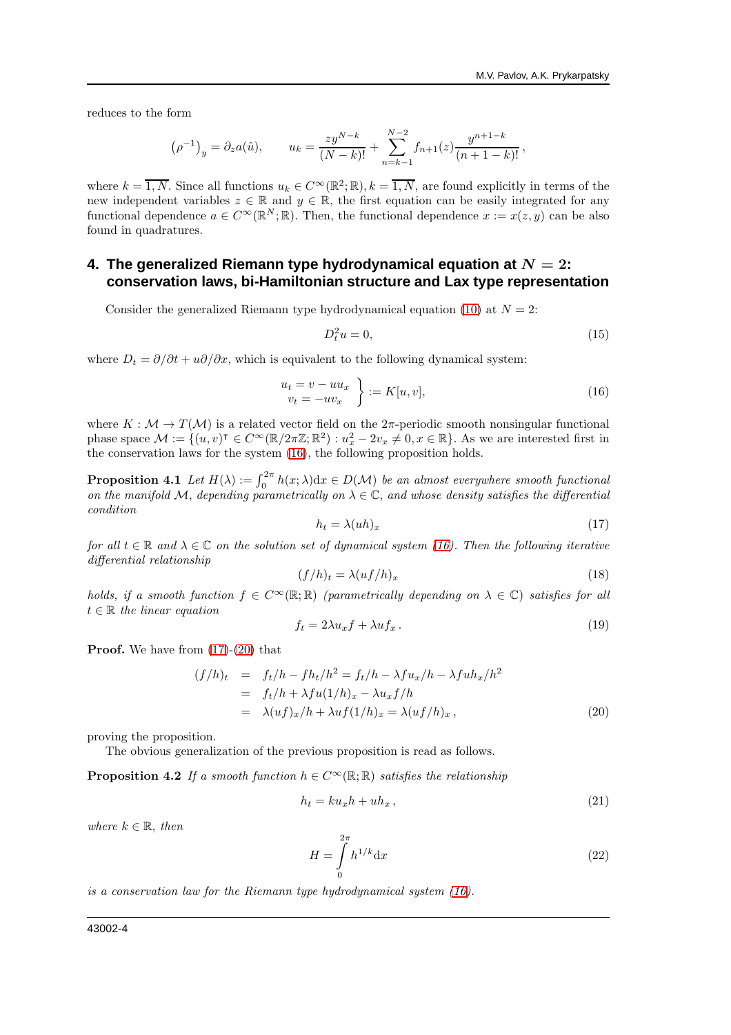reduces to the form

$$
(\rho^{-1})_y = \partial_z a(\hat{u}), \qquad u_k = \frac{zy^{N-k}}{(N-k)!} + \sum_{n=k-1}^{N-2} f_{n+1}(z) \frac{y^{n+1-k}}{(n+1-k)!},
$$

where  $k = \overline{1, N}$ . Since all functions  $u_k \in C^\infty(\mathbb{R}^2; \mathbb{R}), k = \overline{1, N}$ , are found explicitly in terms of the new independent variables  $z \in \mathbb{R}$  and  $y \in \mathbb{R}$ , the first equation can be easily integrated for any functional dependence  $a \in C^{\infty}(\mathbb{R}^N;\mathbb{R})$ . Then, the functional dependence  $x := x(z, y)$  can be also found in quadratures.

# **4. The generalized Riemann type hydrodynamical equation at**  $N = 2$ **: conservation laws, bi-Hamiltonian structure and Lax type representation**

Consider the generalized Riemann type hydrodynamical equation [\(10\)](#page-1-4) at  $N = 2$ :

$$
D_t^2 u = 0,\t\t(15)
$$

where  $D_t = \partial/\partial t + u\partial/\partial x$ , which is equivalent to the following dynamical system:

<span id="page-3-0"></span>
$$
\begin{aligned}\n u_t &= v - uu_x \\
 v_t &= -uv_x\n \end{aligned}\n \bigg\} := K[u, v],\n \tag{16}
$$

where  $K : \mathcal{M} \to T(\mathcal{M})$  is a related vector field on the  $2\pi$ -periodic smooth nonsingular functional phase space  $\mathcal{M} := \{(u, v)^\intercal \in C^\infty(\mathbb{R}/2\pi\mathbb{Z}; \mathbb{R}^2) : u_x^2 - 2v_x \neq 0, x \in \mathbb{R}\}.$  As we are interested first in the conservation laws for the system [\(16\)](#page-3-0), the following proposition holds.

<span id="page-3-5"></span>**Proposition 4.1** Let  $H(\lambda) := \int_0^{2\pi} h(x; \lambda) dx \in D(\mathcal{M})$  be an almost everywhere smooth functional on the manifold M, depending parametrically on  $\lambda \in \mathbb{C}$ , and whose density satisfies the differential condition

<span id="page-3-1"></span>
$$
h_t = \lambda (uh)_x \tag{17}
$$

for all  $t \in \mathbb{R}$  and  $\lambda \in \mathbb{C}$  on the solution set of dynamical system [\(16\)](#page-3-0). Then the following iterative differential relationship

$$
(f/h)_t = \lambda (uf/h)_x \tag{18}
$$

holds, if a smooth function  $f \in C^{\infty}(\mathbb{R}; \mathbb{R})$  (parametrically depending on  $\lambda \in \mathbb{C}$ ) satisfies for all  $t \in \mathbb{R}$  the linear equation

<span id="page-3-3"></span>
$$
f_t = 2\lambda u_x f + \lambda u f_x. \tag{19}
$$

**Proof.** We have from  $(17)-(20)$  $(17)-(20)$  that

<span id="page-3-2"></span>
$$
(f/h)_t = f_t/h - fh_t/h^2 = f_t/h - \lambda fu_x/h - \lambda fu_x/h^2
$$
  
=  $f_t/h + \lambda fu(1/h)_x - \lambda u_x f/h$   
=  $\lambda(uf)_x/h + \lambda uf(1/h)_x = \lambda(uf/h)_x,$  (20)

proving the proposition.

<span id="page-3-4"></span>The obvious generalization of the previous proposition is read as follows.

**Proposition 4.2** If a smooth function  $h \in C^{\infty}(\mathbb{R}; \mathbb{R})$  satisfies the relationship

$$
h_t = k u_x h + u h_x, \qquad (21)
$$

where  $k \in \mathbb{R}$ , then

$$
H = \int_{0}^{2\pi} h^{1/k} \mathrm{d}x \tag{22}
$$

is a conservation law for the Riemann type hydrodynamical system [\(16\)](#page-3-0).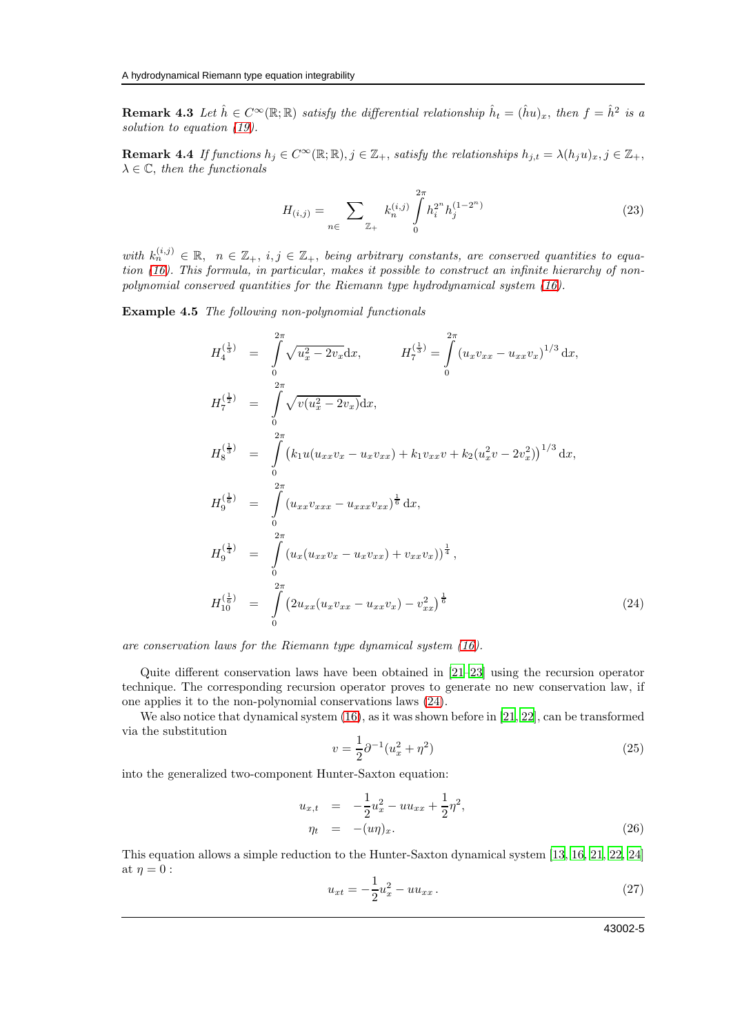<span id="page-4-3"></span>**Remark 4.3** Let  $\hat{h} \in C^{\infty}(\mathbb{R}; \mathbb{R})$  satisfy the differential relationship  $\hat{h}_t = (\hat{h}u)_x$ , then  $f = \hat{h}^2$  is a solution to equation [\(19\)](#page-3-3).

**Remark 4.4** If functions  $h_j \in C^\infty(\mathbb{R}; \mathbb{R}), j \in \mathbb{Z}_+$ , satisfy the relationships  $h_{j,t} = \lambda (h_j u)_x, j \in \mathbb{Z}_+$ ,  $\lambda \in \mathbb{C}$ , then the functionals

$$
H_{(i,j)} = \sum_{n \in \mathbb{Z}_+} k_n^{(i,j)} \int_0^{2\pi} h_i^{2^n} h_j^{(1-2^n)} \tag{23}
$$

with  $k_n^{(i,j)} \in \mathbb{R}$ ,  $n \in \mathbb{Z}_+$ ,  $i, j \in \mathbb{Z}_+$ , being arbitrary constants, are conserved quantities to equation [\(16\)](#page-3-0). This formula, in particular, makes it possible to construct an infinite hierarchy of nonpolynomial conserved quantities for the Riemann type hydrodynamical system [\(16\)](#page-3-0).

Example 4.5 The following non-polynomial functionals

<span id="page-4-0"></span>
$$
H_4^{(\frac{1}{3})} = \int_0^{2\pi} \sqrt{u_x^2 - 2v_x} dx, \qquad H_7^{(\frac{1}{3})} = \int_0^{2\pi} (u_x v_{xx} - u_{xx} v_x)^{1/3} dx,
$$
  
\n
$$
H_7^{(\frac{1}{2})} = \int_0^{2\pi} \sqrt{v(u_x^2 - 2v_x)} dx,
$$
  
\n
$$
H_8^{(\frac{1}{3})} = \int_0^{2\pi} (k_1 u (u_{xx} v_x - u_x v_{xx}) + k_1 v_{xx} v + k_2 (u_x^2 v - 2v_x^2))^{1/3} dx,
$$
  
\n
$$
H_9^{(\frac{1}{6})} = \int_0^{2\pi} (u_{xx} v_{xxx} - u_{xxx} v_{xx})^{\frac{1}{6}} dx,
$$
  
\n
$$
H_9^{(\frac{1}{4})} = \int_0^{2\pi} (u_x (u_{xx} v_x - u_x v_{xx}) + v_{xx} v_x))^{\frac{1}{4}},
$$
  
\n
$$
H_{10}^{(\frac{1}{6})} = \int_0^{2\pi} (2u_{xx} (u_x v_{xx} - u_{xx} v_x) - v_{xx}^2)^{\frac{1}{6}}.
$$
\n(24)

are conservation laws for the Riemann type dynamical system [\(16\)](#page-3-0).

Quite different conservation laws have been obtained in [\[21](#page-20-1)[–23\]](#page-20-2) using the recursion operator technique. The corresponding recursion operator proves to generate no new conservation law, if one applies it to the non-polynomial conservations laws [\(24\)](#page-4-0).

We also notice that dynamical system  $(16)$ , as it was shown before in [\[21,](#page-20-1) [22\]](#page-20-3), can be transformed via the substitution

<span id="page-4-1"></span>
$$
v = \frac{1}{2}\partial^{-1}(u_x^2 + \eta^2)
$$
\n(25)

into the generalized two-component Hunter-Saxton equation:

$$
u_{x,t} = -\frac{1}{2}u_x^2 - uu_{xx} + \frac{1}{2}\eta^2,
$$
  
\n
$$
\eta_t = -(u\eta)_x.
$$
\n(26)

This equation allows a simple reduction to the Hunter-Saxton dynamical system [\[13,](#page-19-6) [16](#page-19-7), [21,](#page-20-1) [22](#page-20-3), [24\]](#page-20-4) at  $\eta = 0$ :

<span id="page-4-2"></span>
$$
u_{xt} = -\frac{1}{2}u_x^2 - uu_{xx} \,. \tag{27}
$$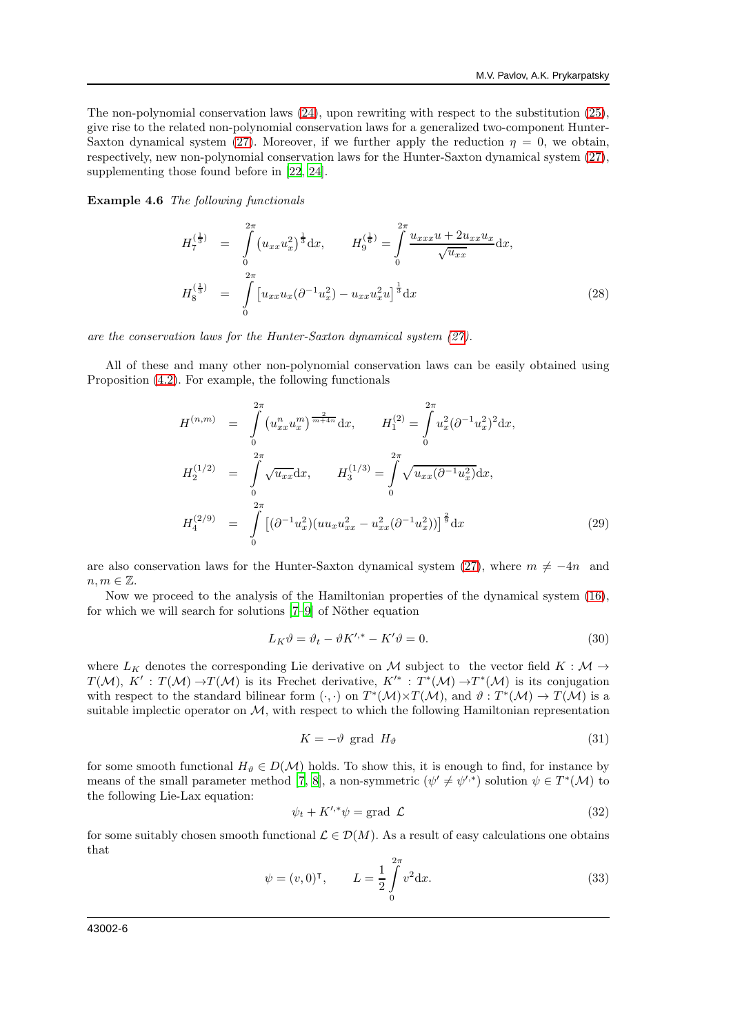The non-polynomial conservation laws [\(24\)](#page-4-0), upon rewriting with respect to the substitution [\(25\)](#page-4-1), give rise to the related non-polynomial conservation laws for a generalized two-component Hunter-Saxton dynamical system [\(27\)](#page-4-2). Moreover, if we further apply the reduction  $\eta = 0$ , we obtain, respectively, new non-polynomial conservation laws for the Hunter-Saxton dynamical system [\(27\)](#page-4-2), supplementing those found before in [\[22,](#page-20-3) [24](#page-20-4)].

Example 4.6 The following functionals

$$
H_7^{(\frac{1}{3})} = \int_0^{2\pi} (u_{xx} u_x^2)^{\frac{1}{3}} dx, \qquad H_9^{(\frac{1}{6})} = \int_0^{2\pi} \frac{u_{xxx} u + 2u_{xx} u_x}{\sqrt{u_{xx}}} dx,
$$
  

$$
H_8^{(\frac{1}{3})} = \int_0^{2\pi} [u_{xx} u_x (\partial^{-1} u_x^2) - u_{xx} u_x^2 u]^{\frac{1}{3}} dx
$$
 (28)

are the conservation laws for the Hunter-Saxton dynamical system [\(27\)](#page-4-2).

All of these and many other non-polynomial conservation laws can be easily obtained using Proposition [\(4.2\)](#page-3-4). For example, the following functionals

<span id="page-5-2"></span>
$$
H^{(n,m)} = \int_{0}^{2\pi} (u_{xx}^n u_x^m)^{\frac{2}{m+4n}} dx, \qquad H_1^{(2)} = \int_{0}^{2\pi} u_x^2 (\partial^{-1} u_x^2)^2 dx,
$$
  

$$
H_2^{(1/2)} = \int_{0}^{2\pi} \sqrt{u_{xx}} dx, \qquad H_3^{(1/3)} = \int_{0}^{2\pi} \sqrt{u_{xx} (\partial^{-1} u_x^2)} dx,
$$
  

$$
H_4^{(2/9)} = \int_{0}^{2\pi} [(\partial^{-1} u_x^2)(uu_x u_{xx}^2 - u_{xx}^2 (\partial^{-1} u_x^2))]^{\frac{2}{9}} dx
$$
(29)

are also conservation laws for the Hunter-Saxton dynamical system [\(27\)](#page-4-2), where  $m \neq -4n$  and  $n, m \in \mathbb{Z}$ .

Now we proceed to the analysis of the Hamiltonian properties of the dynamical system [\(16\)](#page-3-0), for which we will search for solutions  $[7-9]$  of Nöther equation

<span id="page-5-1"></span>
$$
L_K \vartheta = \vartheta_t - \vartheta K'^{*} - K' \vartheta = 0.
$$
\n(30)

where  $L_K$  denotes the corresponding Lie derivative on M subject to the vector field  $K : \mathcal{M} \to$  $T(M), K' : T(M) \to T(M)$  is its Frechet derivative,  $K'^* : T^*(M) \to T^*(M)$  is its conjugation with respect to the standard bilinear form  $(\cdot, \cdot)$  on  $T^*(\mathcal{M}) \times T(\mathcal{M})$ , and  $\vartheta : T^*(\mathcal{M}) \to T(\mathcal{M})$  is a suitable implectic operator on  $\mathcal{M}$ , with respect to which the following Hamiltonian representation

$$
K = -\vartheta \text{ grad } H_{\vartheta} \tag{31}
$$

for some smooth functional  $H_{\vartheta} \in D(\mathcal{M})$  holds. To show this, it is enough to find, for instance by means of the small parameter method [\[7](#page-19-8), [8](#page-19-10)], a non-symmetric  $(\psi' \neq \psi'^{*})$  solution  $\psi \in T^{*}(\mathcal{M})$  to the following Lie-Lax equation:

<span id="page-5-0"></span>
$$
\psi_t + K^{\prime,*}\psi = \text{grad }\mathcal{L}
$$
\n(32)

for some suitably chosen smooth functional  $\mathcal{L} \in \mathcal{D}(M)$ . As a result of easy calculations one obtains that

$$
\psi = (v, 0)^{\mathsf{T}}, \qquad L = \frac{1}{2} \int_{0}^{2\pi} v^2 \, \mathrm{d}x. \tag{33}
$$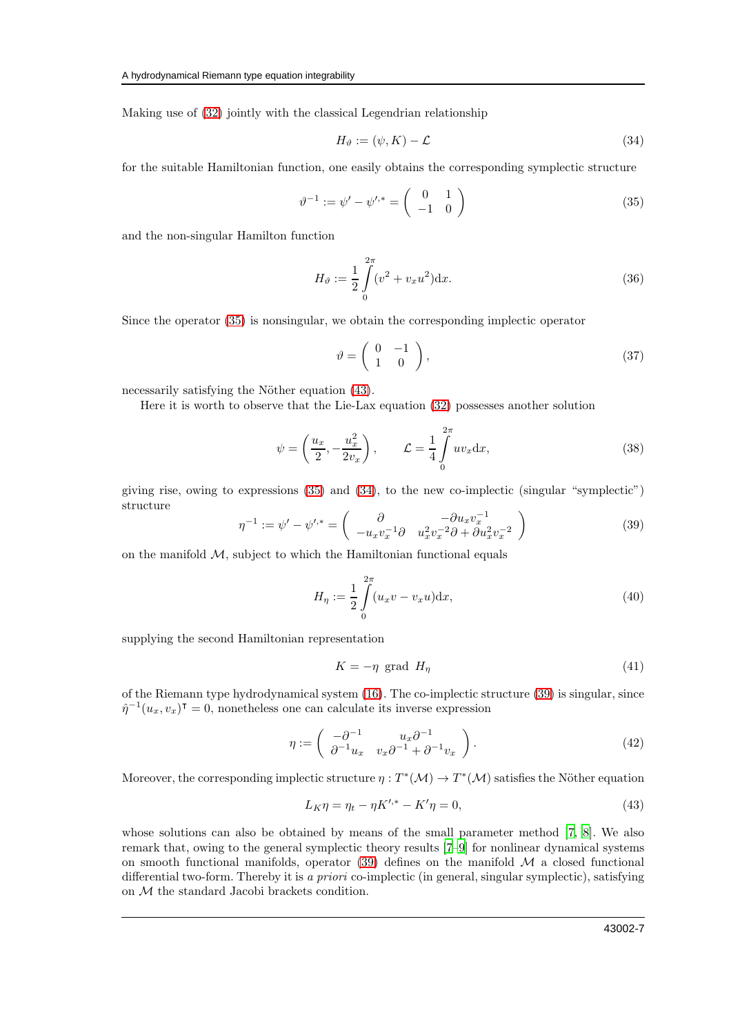Making use of [\(32\)](#page-5-0) jointly with the classical Legendrian relationship

<span id="page-6-2"></span>
$$
H_{\vartheta} := (\psi, K) - \mathcal{L} \tag{34}
$$

for the suitable Hamiltonian function, one easily obtains the corresponding symplectic structure

<span id="page-6-0"></span>
$$
\vartheta^{-1} := \psi' - \psi'^{*} = \begin{pmatrix} 0 & 1 \\ -1 & 0 \end{pmatrix}
$$
 (35)

and the non-singular Hamilton function

$$
H_{\vartheta} := \frac{1}{2} \int_{0}^{2\pi} (v^2 + v_x u^2) dx.
$$
 (36)

Since the operator [\(35\)](#page-6-0) is nonsingular, we obtain the corresponding implectic operator

<span id="page-6-5"></span>
$$
\vartheta = \left( \begin{array}{cc} 0 & -1 \\ 1 & 0 \end{array} \right),\tag{37}
$$

necessarily satisfying the Nöther equation [\(43\)](#page-6-1).

Here it is worth to observe that the Lie-Lax equation [\(32\)](#page-5-0) possesses another solution

$$
\psi = \left(\frac{u_x}{2}, -\frac{u_x^2}{2v_x}\right), \qquad \mathcal{L} = \frac{1}{4} \int_0^{2\pi} uv_x \, dx,\tag{38}
$$

giving rise, owing to expressions [\(35\)](#page-6-0) and [\(34\)](#page-6-2), to the new co-implectic (singular "symplectic") structure

<span id="page-6-3"></span>
$$
\eta^{-1} := \psi' - \psi'^{*} = \begin{pmatrix} \frac{\partial}{\partial u_x v_x^{-1}} & -\partial u_x v_x^{-1} \\ -u_x v_x^{-1} \partial u_x^2 v_x^{-2} & -\partial u_x^2 v_x^{-2} \end{pmatrix} \tag{39}
$$

on the manifold  $M$ , subject to which the Hamiltonian functional equals

$$
H_{\eta} := \frac{1}{2} \int_{0}^{2\pi} (u_x v - v_x u) \mathrm{d}x,\tag{40}
$$

supplying the second Hamiltonian representation

$$
K = -\eta \text{ grad } H_{\eta} \tag{41}
$$

of the Riemann type hydrodynamical system [\(16\)](#page-3-0). The co-implectic structure [\(39\)](#page-6-3) is singular, since  $\hat{\eta}^{-1}(u_x, v_x)$ <sup> $\tau = 0$ </sup>, nonetheless one can calculate its inverse expression

<span id="page-6-4"></span>
$$
\eta := \begin{pmatrix} -\partial^{-1} & u_x \partial^{-1} \\ \partial^{-1} u_x & v_x \partial^{-1} + \partial^{-1} v_x \end{pmatrix} . \tag{42}
$$

Moreover, the corresponding implectic structure  $\eta: T^*(\mathcal{M}) \to T^*(\mathcal{M})$  satisfies the Nöther equation

<span id="page-6-1"></span>
$$
L_K \eta = \eta_t - \eta K'^{*} - K' \eta = 0,
$$
\n(43)

whose solutions can also be obtained by means of the small parameter method [\[7,](#page-19-8) [8\]](#page-19-10). We also remark that, owing to the general symplectic theory results [\[7](#page-19-8)[–9](#page-19-9)] for nonlinear dynamical systems on smooth functional manifolds, operator [\(39\)](#page-6-3) defines on the manifold  $\mathcal M$  a closed functional differential two-form. Thereby it is a priori co-implectic (in general, singular symplectic), satisfying on  $\mathcal M$  the standard Jacobi brackets condition.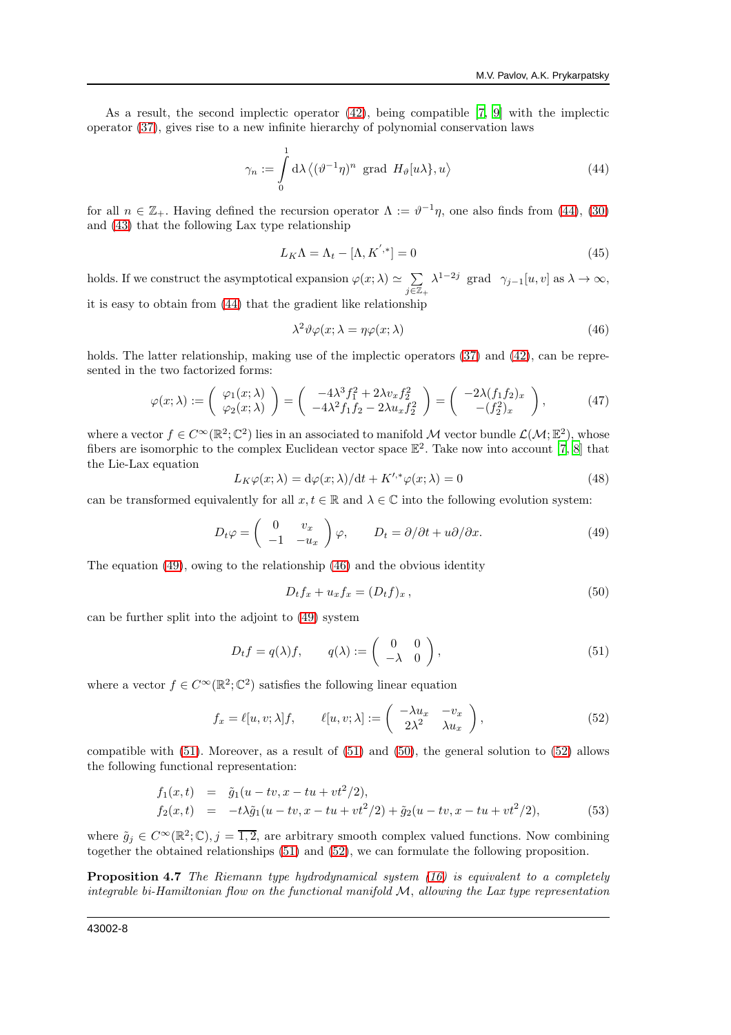As a result, the second implectic operator [\(42\)](#page-6-4), being compatible [\[7](#page-19-8), [9\]](#page-19-9) with the implectic operator [\(37\)](#page-6-5), gives rise to a new infinite hierarchy of polynomial conservation laws

<span id="page-7-0"></span>
$$
\gamma_n := \int_0^1 d\lambda \left\langle (\vartheta^{-1} \eta)^n \text{ grad } H_\vartheta[u \lambda], u \right\rangle \tag{44}
$$

for all  $n \in \mathbb{Z}_+$ . Having defined the recursion operator  $\Lambda := \vartheta^{-1}\eta$ , one also finds from [\(44\)](#page-7-0), [\(30\)](#page-5-1) and [\(43\)](#page-6-1) that the following Lax type relationship

$$
L_K \Lambda = \Lambda_t - [\Lambda, K^{',*}] = 0 \tag{45}
$$

holds. If we construct the asymptotical expansion  $\varphi(x;\lambda) \simeq \sum_{n=0}^{\infty}$  $j\bar{\in}\mathbb{Z}_+$  $\lambda^{1-2j}$  grad  $\gamma_{j-1}[u, v]$  as  $\lambda \to \infty$ , it is easy to obtain from [\(44\)](#page-7-0) that the gradient like relationship

<span id="page-7-2"></span>
$$
\lambda^2 \vartheta \varphi(x; \lambda = \eta \varphi(x; \lambda) \tag{46}
$$

holds. The latter relationship, making use of the implectic operators  $(37)$  and  $(42)$ , can be represented in the two factorized forms:

$$
\varphi(x;\lambda) := \begin{pmatrix} \varphi_1(x;\lambda) \\ \varphi_2(x;\lambda) \end{pmatrix} = \begin{pmatrix} -4\lambda^3 f_1^2 + 2\lambda v_x f_2^2 \\ -4\lambda^2 f_1 f_2 - 2\lambda u_x f_2^2 \end{pmatrix} = \begin{pmatrix} -2\lambda (f_1 f_2)_x \\ - (f_2^2)_x \end{pmatrix},
$$
(47)

where a vector  $f \in C^{\infty}(\mathbb{R}^2; \mathbb{C}^2)$  lies in an associated to manifold M vector bundle  $\mathcal{L}(\mathcal{M}; \mathbb{E}^2)$ , whose fibers are isomorphic to the complex Euclidean vector space  $\mathbb{E}^2$ . Take now into account [\[7,](#page-19-8) [8\]](#page-19-10) that the Lie-Lax equation

<span id="page-7-7"></span>
$$
L_K \varphi(x; \lambda) = d\varphi(x; \lambda) / dt + K'^{*} \varphi(x; \lambda) = 0
$$
\n(48)

can be transformed equivalently for all  $x, t \in \mathbb{R}$  and  $\lambda \in \mathbb{C}$  into the following evolution system:

<span id="page-7-1"></span>
$$
D_t \varphi = \begin{pmatrix} 0 & v_x \\ -1 & -u_x \end{pmatrix} \varphi, \qquad D_t = \partial/\partial t + u \partial/\partial x. \tag{49}
$$

The equation  $(49)$ , owing to the relationship  $(46)$  and the obvious identity

<span id="page-7-4"></span>
$$
D_t f_x + u_x f_x = (D_t f)_x, \qquad (50)
$$

can be further split into the adjoint to [\(49\)](#page-7-1) system

<span id="page-7-3"></span>
$$
D_t f = q(\lambda) f, \qquad q(\lambda) := \begin{pmatrix} 0 & 0 \\ -\lambda & 0 \end{pmatrix}, \tag{51}
$$

where a vector  $f \in C^{\infty}(\mathbb{R}^2; \mathbb{C}^2)$  satisfies the following linear equation

<span id="page-7-5"></span>
$$
f_x = \ell[u, v; \lambda]f, \qquad \ell[u, v; \lambda] := \begin{pmatrix} -\lambda u_x & -v_x \\ 2\lambda^2 & \lambda u_x \end{pmatrix}, \tag{52}
$$

compatible with  $(51)$ . Moreover, as a result of  $(51)$  and  $(50)$ , the general solution to  $(52)$  allows the following functional representation:

<span id="page-7-6"></span>
$$
f_1(x,t) = \tilde{g}_1(u - tv, x - tu + vt^2/2),
$$
  
\n
$$
f_2(x,t) = -t\lambda \tilde{g}_1(u - tv, x - tu + vt^2/2) + \tilde{g}_2(u - tv, x - tu + vt^2/2),
$$
\n(53)

where  $\tilde{g}_j \in C^{\infty}(\mathbb{R}^2;\mathbb{C}), j = \overline{1,2}$ , are arbitrary smooth complex valued functions. Now combining together the obtained relationships [\(51\)](#page-7-3) and [\(52\)](#page-7-5), we can formulate the following proposition.

**Proposition 4.7** The Riemann type hydrodynamical system  $(16)$  is equivalent to a completely integrable bi-Hamiltonian flow on the functional manifold  $M$ , allowing the Lax type representation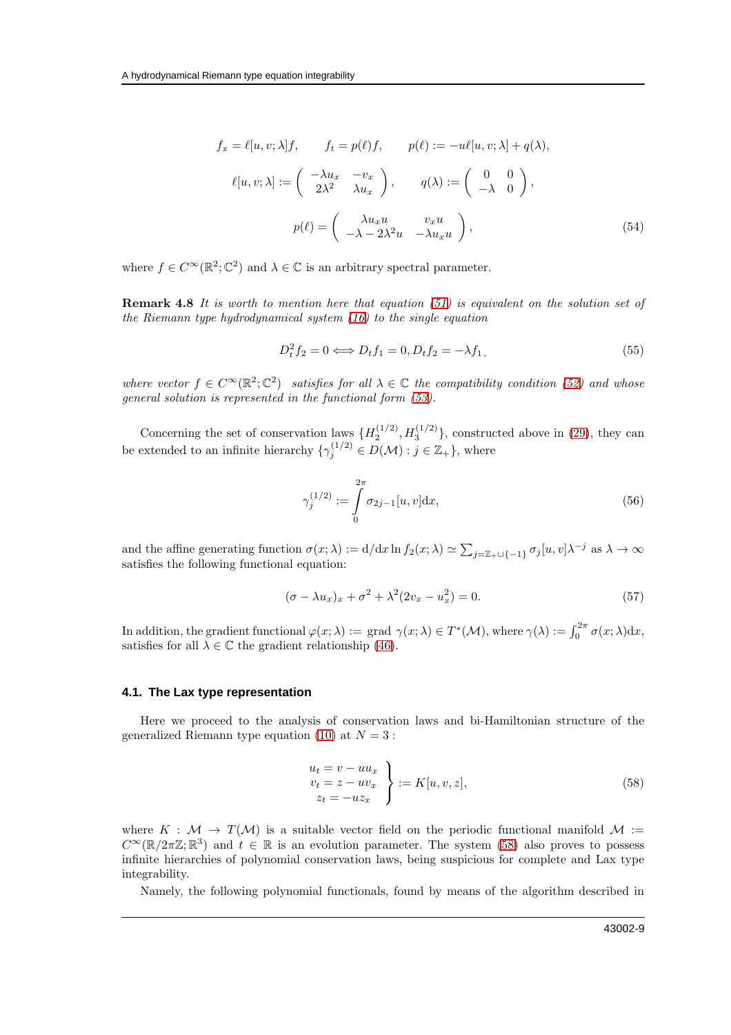$$
f_x = \ell[u, v; \lambda]f, \qquad f_t = p(\ell)f, \qquad p(\ell) := -u\ell[u, v; \lambda] + q(\lambda),
$$

$$
\ell[u, v; \lambda] := \begin{pmatrix} -\lambda u_x & -v_x \\ 2\lambda^2 & \lambda u_x \end{pmatrix}, \qquad q(\lambda) := \begin{pmatrix} 0 & 0 \\ -\lambda & 0 \end{pmatrix},
$$

$$
p(\ell) = \begin{pmatrix} \lambda u_x u & v_x u \\ -\lambda - 2\lambda^2 u & -\lambda u_x u \end{pmatrix}, \tag{54}
$$

where  $f \in C^{\infty}(\mathbb{R}^2; \mathbb{C}^2)$  and  $\lambda \in \mathbb{C}$  is an arbitrary spectral parameter.

**Remark 4.8** It is worth to mention here that equation  $(51)$  is equivalent on the solution set of the Riemann type hydrodynamical system  $(16)$  to the single equation

$$
D_t^2 f_2 = 0 \Longleftrightarrow D_t f_1 = 0, D_t f_2 = -\lambda f_1,\tag{55}
$$

where vector  $f \in C^{\infty}(\mathbb{R}^2; \mathbb{C}^2)$  satisfies for all  $\lambda \in \mathbb{C}$  the compatibility condition [\(52\)](#page-7-5) and whose general solution is represented in the functional form [\(53\)](#page-7-6).

Concerning the set of conservation laws  $\{H_2^{(1/2)}, H_3^{(1/2)}\}$ , constructed above in [\(29\)](#page-5-2), they can be extended to an infinite hierarchy  $\{\gamma_j^{(1/2)} \in D(\mathcal{M}) : j \in \mathbb{Z}_+\}$ , where

$$
\gamma_j^{(1/2)} := \int_0^{2\pi} \sigma_{2j-1}[u, v] dx,\tag{56}
$$

and the affine generating function  $\sigma(x; \lambda) := d/dx \ln f_2(x; \lambda) \simeq \sum_{j=\mathbb{Z}_+ \cup \{-1\}} \sigma_j[u, v] \lambda^{-j}$  as  $\lambda \to \infty$ satisfies the following functional equation:

$$
(\sigma - \lambda u_x)_x + \sigma^2 + \lambda^2 (2v_x - u_x^2) = 0.
$$
\n
$$
(57)
$$

In addition, the gradient functional  $\varphi(x;\lambda) := \text{grad }\gamma(x;\lambda) \in T^*(\mathcal{M})$ , where  $\gamma(\lambda) := \int_0^{2\pi} \sigma(x;\lambda) dx$ , satisfies for all  $\lambda \in \mathbb{C}$  the gradient relationship [\(46\)](#page-7-2).

#### **4.1. The Lax type representation**

Here we proceed to the analysis of conservation laws and bi-Hamiltonian structure of the generalized Riemann type equation [\(10\)](#page-1-4) at  $N = 3$ :

<span id="page-8-0"></span>
$$
\begin{aligned}\n u_t &= v - u u_x \\
 v_t &= z - u v_x \\
 z_t &= -u z_x\n \end{aligned}\n \bigg\} := K[u, v, z],\n \tag{58}
$$

where  $K : \mathcal{M} \to T(\mathcal{M})$  is a suitable vector field on the periodic functional manifold  $\mathcal{M}$  :=  $C^{\infty}(\mathbb{R}/2\pi\mathbb{Z};\mathbb{R}^3)$  and  $t \in \mathbb{R}$  is an evolution parameter. The system [\(58\)](#page-8-0) also proves to possess infinite hierarchies of polynomial conservation laws, being suspicious for complete and Lax type integrability.

Namely, the following polynomial functionals, found by means of the algorithm described in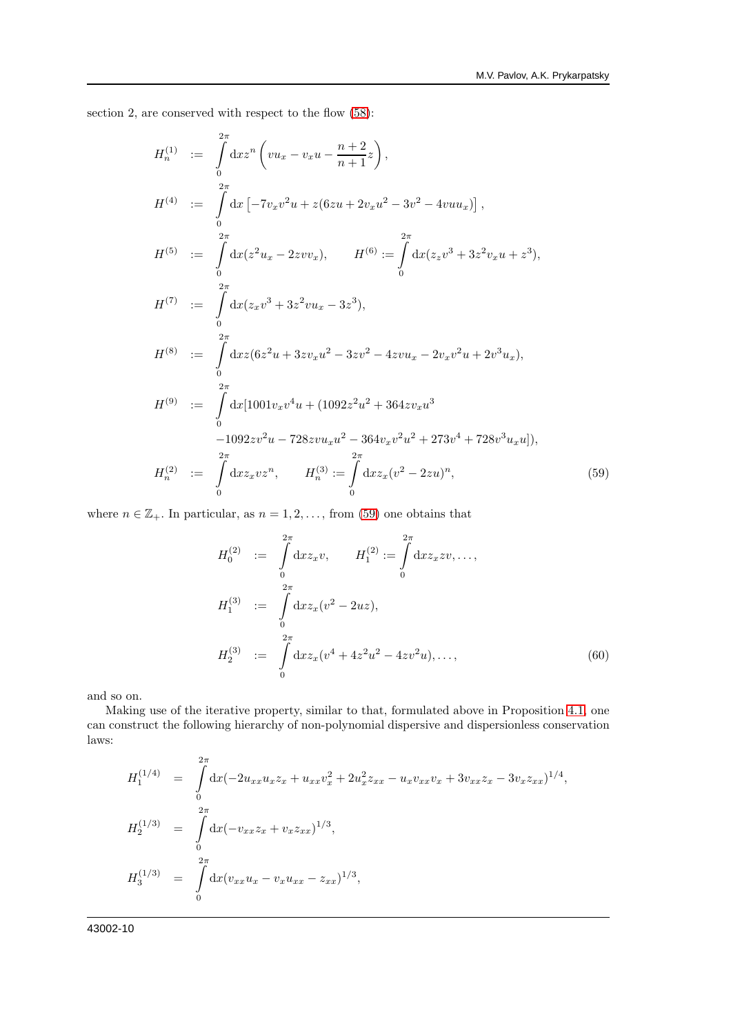section 2, are conserved with respect to the flow [\(58\)](#page-8-0):

<span id="page-9-0"></span>
$$
H_n^{(1)} := \int_0^{2\pi} dx z^n \left(vu_x - v_x u - \frac{n+2}{n+1}z\right),
$$
  
\n
$$
H^{(4)} := \int_0^{2\pi} dx \left[-7v_x v^2 u + z(6zu + 2v_x u^2 - 3v^2 - 4vu u_x)\right],
$$
  
\n
$$
H^{(5)} := \int_0^{2\pi} dx (z^2 u_x - 2zvv_x), \qquad H^{(6)} := \int_0^{2\pi} dx (z_z v^3 + 3z^2 v_x u + z^3),
$$
  
\n
$$
H^{(7)} := \int_0^{2\pi} dx (z_x v^3 + 3z^2 vu_x - 3z^3),
$$
  
\n
$$
H^{(8)} := \int_0^{2\pi} dx z (6z^2 u + 3z v_x u^2 - 3z v^2 - 4zvu_x - 2v_x v^2 u + 2v^3 u_x),
$$
  
\n
$$
H^{(9)} := \int_0^{2\pi} dx [1001v_x v^4 u + (1092z^2 u^2 + 364z v_x u^3 - 1092z v^2 u - 728zvu_x u^2 - 364v_x v^2 u^2 + 273v^4 + 728v^3 u_x u]),
$$
  
\n
$$
H_n^{(2)} := \int_0^{2\pi} dx z_x v z^n, \qquad H_n^{(3)} := \int_0^{2\pi} dx z_x (v^2 - 2zu)^n,
$$
  
\n(59)

where  $n \in \mathbb{Z}_+$ . In particular, as  $n = 1, 2, \ldots$ , from [\(59\)](#page-9-0) one obtains that

$$
H_0^{(2)} := \int_0^{2\pi} dx z_x v, \qquad H_1^{(2)} := \int_0^{2\pi} dx z_x z v, \dots,
$$
  
\n
$$
H_1^{(3)} := \int_0^{2\pi} dx z_x (v^2 - 2uz),
$$
  
\n
$$
H_2^{(3)} := \int_0^{2\pi} dx z_x (v^4 + 4z^2 u^2 - 4z v^2 u), \dots,
$$
\n(60)

and so on.

Making use of the iterative property, similar to that, formulated above in Proposition [4.1,](#page-3-5) one can construct the following hierarchy of non-polynomial dispersive and dispersionless conservation laws:

$$
H_1^{(1/4)} = \int_0^{2\pi} dx (-2u_{xx}u_xz_x + u_{xx}v_x^2 + 2u_x^2z_{xx} - u_xv_{xx}v_x + 3v_{xx}z_x - 3v_xz_{xx})^{1/4},
$$
  
\n
$$
H_2^{(1/3)} = \int_0^{2\pi} dx (-v_{xx}z_x + v_xz_{xx})^{1/3},
$$
  
\n
$$
H_3^{(1/3)} = \int_0^{2\pi} dx (v_{xx}u_x - v_xu_{xx} - z_{xx})^{1/3},
$$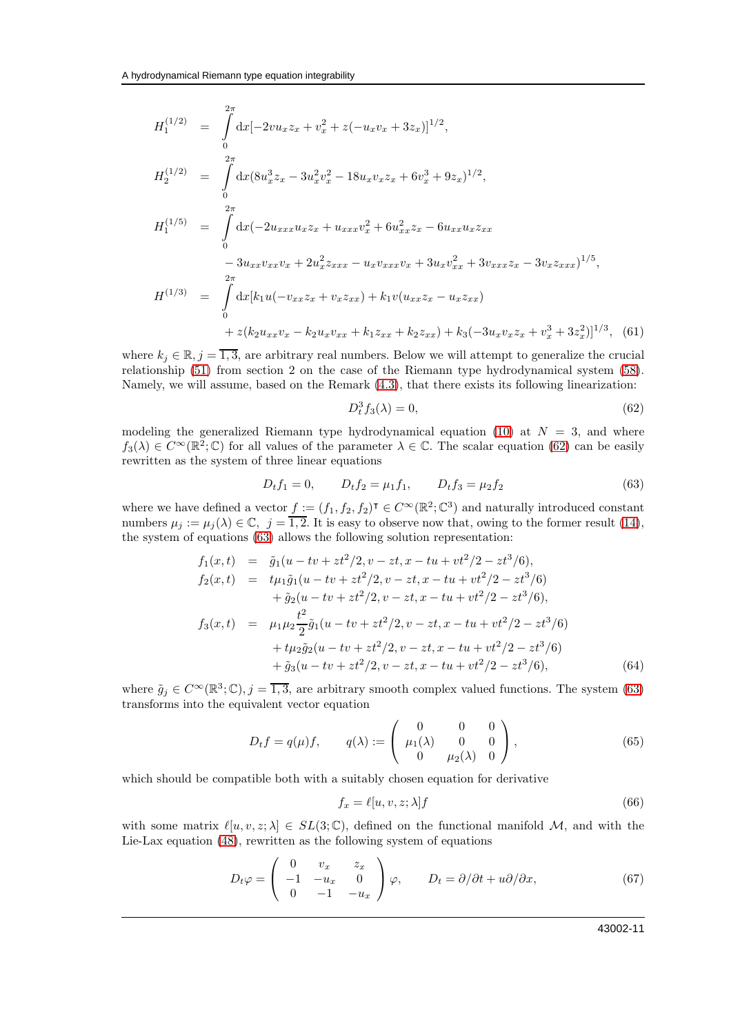<span id="page-10-5"></span>
$$
H_1^{(1/2)} = \int_0^{2\pi} dx [-2vu_x z_x + v_x^2 + z(-u_x v_x + 3z_x)]^{1/2},
$$
  
\n
$$
H_2^{(1/2)} = \int_0^{2\pi} dx (8u_x^3 z_x - 3u_x^2 v_x^2 - 18u_x v_x z_x + 6v_x^3 + 9z_x)^{1/2},
$$
  
\n
$$
H_1^{(1/5)} = \int_0^{2\pi} dx (-2u_{xxx} u_x z_x + u_{xxx} v_x^2 + 6u_{xx}^2 z_x - 6u_{xx} u_x z_{xx} - 3v_x z_{xxx})^{1/5},
$$
  
\n
$$
H^{(1/3)} = \int_0^{2\pi} dx [k_1 u(-v_{xx} z_x + v_x z_{xx}) + k_1 v(u_{xx} z_x - u_x z_{xx}) + z(k_2 u_{xx} v_x - k_2 u_x v_{xx} + k_1 z_{xx} + k_2 z_{xx}) + k_3 (-3u_x v_x z_x + v_x^3 + 3z_x^2)]^{1/3},
$$
(61)

where  $k_j \in \mathbb{R}, j = \overline{1,3}$ , are arbitrary real numbers. Below we will attempt to generalize the crucial relationship [\(51\)](#page-7-3) from section 2 on the case of the Riemann type hydrodynamical system [\(58\)](#page-8-0). Namely, we will assume, based on the Remark [\(4.3\)](#page-4-3), that there exists its following linearization:

<span id="page-10-0"></span>
$$
D_t^3 f_3(\lambda) = 0,\t(62)
$$

modeling the generalized Riemann type hydrodynamical equation [\(10\)](#page-1-4) at  $N = 3$ , and where  $f_3(\lambda) \in C^{\infty}(\mathbb{R}^2;\mathbb{C})$  for all values of the parameter  $\lambda \in \mathbb{C}$ . The scalar equation [\(62\)](#page-10-0) can be easily rewritten as the system of three linear equations

<span id="page-10-1"></span>
$$
D_t f_1 = 0, \qquad D_t f_2 = \mu_1 f_1, \qquad D_t f_3 = \mu_2 f_2 \tag{63}
$$

where we have defined a vector  $f := (f_1, f_2, f_2)^\intercal \in C^\infty(\mathbb{R}^2; \mathbb{C}^3)$  and naturally introduced constant numbers  $\mu_j := \mu_j(\lambda) \in \mathbb{C}, j = \overline{1,2}$ . It is easy to observe now that, owing to the former result [\(14\)](#page-2-1), the system of equations [\(63\)](#page-10-1) allows the following solution representation:

$$
f_1(x,t) = \tilde{g}_1(u - tv + zt^2/2, v - zt, x - tu + vt^2/2 - zt^3/6),
$$
  
\n
$$
f_2(x,t) = t\mu_1 \tilde{g}_1(u - tv + zt^2/2, v - zt, x - tu + vt^2/2 - zt^3/6)
$$
  
\n
$$
+ \tilde{g}_2(u - tv + zt^2/2, v - zt, x - tu + vt^2/2 - zt^3/6),
$$
  
\n
$$
f_3(x,t) = \mu_1 \mu_2 \frac{t^2}{2} \tilde{g}_1(u - tv + zt^2/2, v - zt, x - tu + vt^2/2 - zt^3/6)
$$
  
\n
$$
+ t\mu_2 \tilde{g}_2(u - tv + zt^2/2, v - zt, x - tu + vt^2/2 - zt^3/6)
$$
  
\n
$$
+ \tilde{g}_3(u - tv + zt^2/2, v - zt, x - tu + vt^2/2 - zt^3/6),
$$
  
\n(64)

where  $\tilde{g}_j \in C^{\infty}(\mathbb{R}^3; \mathbb{C}), j = \overline{1,3}$ , are arbitrary smooth complex valued functions. The system [\(63\)](#page-10-1) transforms into the equivalent vector equation

<span id="page-10-3"></span>
$$
D_t f = q(\mu)f, \qquad q(\lambda) := \begin{pmatrix} 0 & 0 & 0 \\ \mu_1(\lambda) & 0 & 0 \\ 0 & \mu_2(\lambda) & 0 \end{pmatrix}, \tag{65}
$$

which should be compatible both with a suitably chosen equation for derivative

<span id="page-10-2"></span>
$$
f_x = \ell[u, v, z; \lambda]f \tag{66}
$$

with some matrix  $\ell[u, v, z; \lambda] \in SL(3, \mathbb{C})$ , defined on the functional manifold M, and with the Lie-Lax equation [\(48\)](#page-7-7), rewritten as the following system of equations

<span id="page-10-4"></span>
$$
D_t \varphi = \begin{pmatrix} 0 & v_x & z_x \\ -1 & -u_x & 0 \\ 0 & -1 & -u_x \end{pmatrix} \varphi, \qquad D_t = \partial/\partial t + u\partial/\partial x,\tag{67}
$$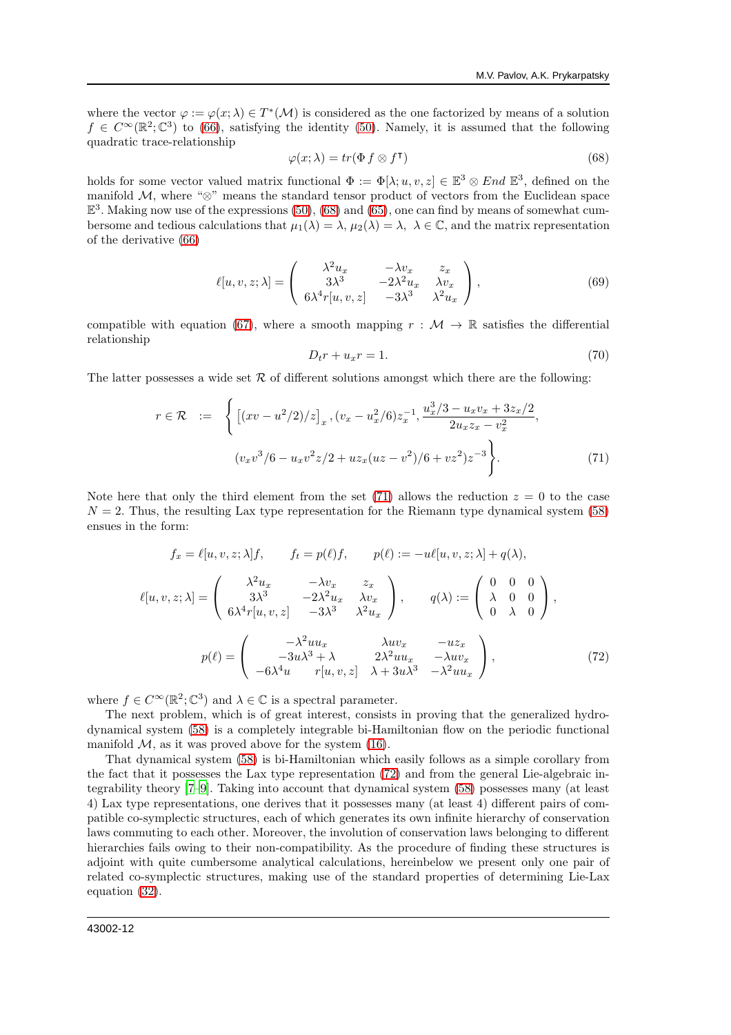where the vector  $\varphi := \varphi(x; \lambda) \in T^*(\mathcal{M})$  is considered as the one factorized by means of a solution  $f \in C^{\infty}(\mathbb{R}^2;\mathbb{C}^3)$  to [\(66\)](#page-10-2), satisfying the identity [\(50\)](#page-7-4). Namely, it is assumed that the following quadratic trace-relationship

<span id="page-11-0"></span>
$$
\varphi(x;\lambda) = tr(\Phi f \otimes f^{\mathsf{T}})
$$
\n(68)

holds for some vector valued matrix functional  $\Phi := \Phi[\lambda; u, v, z] \in \mathbb{E}^3 \otimes End \mathbb{E}^3$ , defined on the manifold M, where " $\otimes$ " means the standard tensor product of vectors from the Euclidean space  $\mathbb{E}^{3}$ . Making now use of the expressions [\(50\)](#page-7-4), [\(68\)](#page-11-0) and [\(65\)](#page-10-3), one can find by means of somewhat cumbersome and tedious calculations that  $\mu_1(\lambda) = \lambda$ ,  $\mu_2(\lambda) = \lambda$ ,  $\lambda \in \mathbb{C}$ , and the matrix representation of the derivative [\(66\)](#page-10-2)

$$
\ell[u,v,z;\lambda] = \begin{pmatrix} \lambda^2 u_x & -\lambda v_x & z_x \\ 3\lambda^3 & -2\lambda^2 u_x & \lambda v_x \\ 6\lambda^4 r[u,v,z] & -3\lambda^3 & \lambda^2 u_x \end{pmatrix},
$$
(69)

compatible with equation [\(67\)](#page-10-4), where a smooth mapping  $r : \mathcal{M} \to \mathbb{R}$  satisfies the differential relationship

<span id="page-11-3"></span>
$$
D_t r + u_x r = 1. \t\t(70)
$$

The latter possesses a wide set  $R$  of different solutions amongst which there are the following:

<span id="page-11-1"></span>
$$
r \in \mathcal{R} \quad := \quad \left\{ \left[ (xv - u^2/2)/z \right]_x, (v_x - u_x^2/6) z_x^{-1}, \frac{u_x^3/3 - u_x v_x + 3z_x/2}{2u_x z_x - v_x^2}, \right. \tag{71}
$$
\n
$$
(v_x v^3/6 - u_x v^2 z/2 + u z_x (uz - v^2)/6 + v z^2) z^{-3} \right\}.
$$

Note here that only the third element from the set [\(71\)](#page-11-1) allows the reduction  $z = 0$  to the case  $N = 2$ . Thus, the resulting Lax type representation for the Riemann type dynamical system [\(58\)](#page-8-0) ensues in the form:

<span id="page-11-2"></span>
$$
f_x = \ell[u, v, z; \lambda]f, \qquad f_t = p(\ell)f, \qquad p(\ell) := -u\ell[u, v, z; \lambda] + q(\lambda),
$$

$$
\ell[u, v, z; \lambda] = \begin{pmatrix} \lambda^2 u_x & -\lambda v_x & z_x \\ 3\lambda^3 & -2\lambda^2 u_x & \lambda v_x \\ 6\lambda^4 r[u, v, z] & -3\lambda^3 & \lambda^2 u_x \end{pmatrix}, \qquad q(\lambda) := \begin{pmatrix} 0 & 0 & 0 \\ \lambda & 0 & 0 \\ 0 & \lambda & 0 \end{pmatrix},
$$

$$
p(\ell) = \begin{pmatrix} -\lambda^2 u u_x & \lambda u v_x & -u z_x \\ -3u\lambda^3 + \lambda & 2\lambda^2 u u_x & -\lambda u v_x \\ -6\lambda^4 u & r[u, v, z] & \lambda + 3u\lambda^3 & -\lambda^2 u u_x \end{pmatrix}, \tag{72}
$$

where  $f \in C^{\infty}(\mathbb{R}^2; \mathbb{C}^3)$  and  $\lambda \in \mathbb{C}$  is a spectral parameter.

The next problem, which is of great interest, consists in proving that the generalized hydrodynamical system [\(58\)](#page-8-0) is a completely integrable bi-Hamiltonian flow on the periodic functional manifold  $M$ , as it was proved above for the system [\(16\)](#page-3-0).

That dynamical system [\(58\)](#page-8-0) is bi-Hamiltonian which easily follows as a simple corollary from the fact that it possesses the Lax type representation [\(72\)](#page-11-2) and from the general Lie-algebraic integrability theory [\[7](#page-19-8)[–9\]](#page-19-9). Taking into account that dynamical system [\(58\)](#page-8-0) possesses many (at least 4) Lax type representations, one derives that it possesses many (at least 4) different pairs of compatible co-symplectic structures, each of which generates its own infinite hierarchy of conservation laws commuting to each other. Moreover, the involution of conservation laws belonging to different hierarchies fails owing to their non-compatibility. As the procedure of finding these structures is adjoint with quite cumbersome analytical calculations, hereinbelow we present only one pair of related co-symplectic structures, making use of the standard properties of determining Lie-Lax equation [\(32\)](#page-5-0).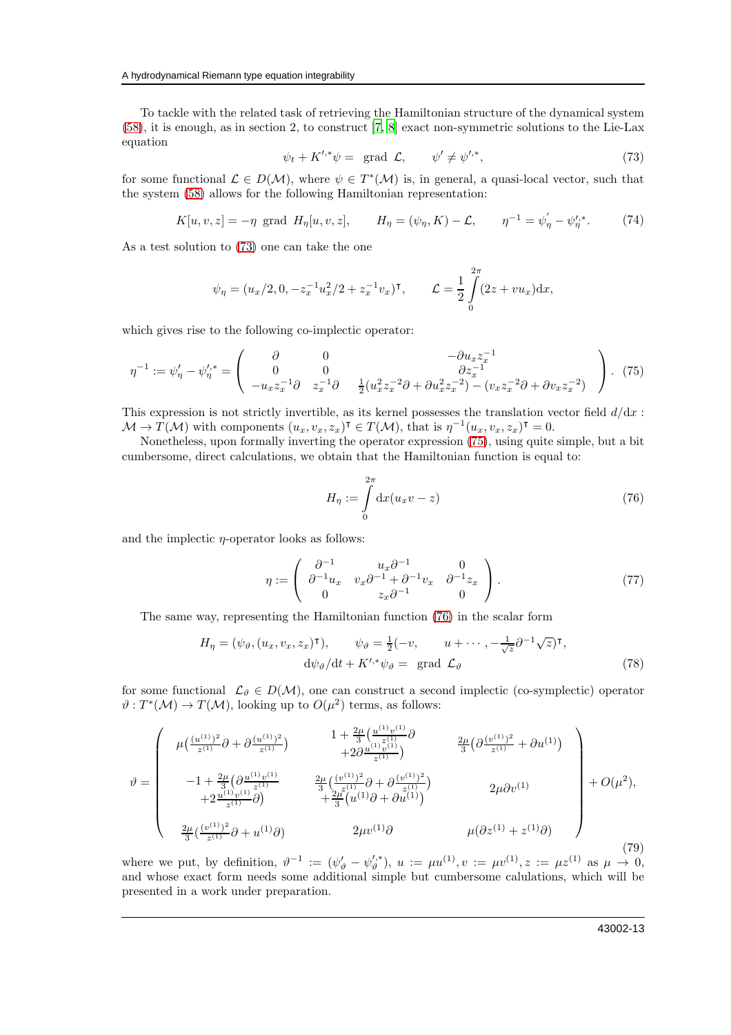To tackle with the related task of retrieving the Hamiltonian structure of the dynamical system [\(58\)](#page-8-0), it is enough, as in section 2, to construct [\[7](#page-19-8), [8](#page-19-10)] exact non-symmetric solutions to the Lie-Lax equation

<span id="page-12-0"></span>
$$
\psi_t + K'^{*} \psi = \text{ grad } \mathcal{L}, \qquad \psi' \neq \psi'^{*}, \qquad (73)
$$

for some functional  $\mathcal{L} \in D(\mathcal{M})$ , where  $\psi \in T^*(\mathcal{M})$  is, in general, a quasi-local vector, such that the system [\(58\)](#page-8-0) allows for the following Hamiltonian representation:

<span id="page-12-5"></span>
$$
K[u, v, z] = -\eta
$$
 grad  $H_{\eta}[u, v, z],$   $H_{\eta} = (\psi_{\eta}, K) - \mathcal{L},$   $\eta^{-1} = \psi_{\eta}' - \psi_{\eta}'^{*}.$  (74)

As a test solution to [\(73\)](#page-12-0) one can take the one

$$
\psi_{\eta} = (u_x/2, 0, -z_x^{-1}u_x^2/2 + z_x^{-1}v_x)^{\intercal}, \qquad \mathcal{L} = \frac{1}{2} \int_{0}^{2\pi} (2z + vu_x) dx,
$$

which gives rise to the following co-implectic operator:

<span id="page-12-1"></span>
$$
\eta^{-1} := \psi_{\eta}' - \psi_{\eta}'^{*} = \begin{pmatrix} \partial & 0 & -\partial u_{x} z_{x}^{-1} \\ 0 & 0 & \partial z_{x}^{-1} \\ -u_{x} z_{x}^{-1} \partial & z_{x}^{-1} \partial & \frac{1}{2} (u_{x}^{2} z_{x}^{-2} \partial + \partial u_{x}^{2} z_{x}^{-2}) - (v_{x} z_{x}^{-2} \partial + \partial v_{x} z_{x}^{-2}) \end{pmatrix}.
$$
 (75)

This expression is not strictly invertible, as its kernel possesses the translation vector field  $d/dx$ :  $\mathcal{M} \to T(\mathcal{M})$  with components  $(u_x, v_x, z_x)^\intercal \in T(\mathcal{M})$ , that is  $\eta^{-1}(u_x, v_x, z_x)^\intercal = 0$ .

Nonetheless, upon formally inverting the operator expression [\(75\)](#page-12-1), using quite simple, but a bit cumbersome, direct calculations, we obtain that the Hamiltonian function is equal to:

<span id="page-12-2"></span>
$$
H_{\eta} := \int\limits_{0}^{2\pi} \mathrm{d}x (u_x v - z) \tag{76}
$$

and the implectic  $\eta$ -operator looks as follows:

<span id="page-12-6"></span>
$$
\eta := \begin{pmatrix} \partial^{-1} & u_x \partial^{-1} & 0 \\ \partial^{-1} u_x & v_x \partial^{-1} + \partial^{-1} v_x & \partial^{-1} z_x \\ 0 & z_x \partial^{-1} & 0 \end{pmatrix} . \tag{77}
$$

The same way, representing the Hamiltonian function [\(76\)](#page-12-2) in the scalar form

<span id="page-12-4"></span>
$$
H_{\eta} = (\psi_{\vartheta}, (u_x, v_x, z_x)^{\mathsf{T}}), \qquad \psi_{\vartheta} = \frac{1}{2}(-v, \qquad u + \cdots, -\frac{1}{\sqrt{z}}\partial^{-1}\sqrt{z})^{\mathsf{T}},
$$

$$
\mathrm{d}\psi_{\vartheta}/\mathrm{d}t + K^{\prime,*}\psi_{\vartheta} = \text{grad }\mathcal{L}_{\vartheta}
$$
(78)

for some functional  $\mathcal{L}_{\vartheta} \in D(\mathcal{M})$ , one can construct a second implectic (co-symplectic) operator  $\vartheta: T^*(\mathcal{M}) \to T(\mathcal{M})$ , looking up to  $O(\mu^2)$  terms, as follows:

<span id="page-12-3"></span>
$$
\vartheta = \begin{pmatrix}\n\mu \left( \frac{(u^{(1)})^2}{z^{(1)}} \partial + \partial \frac{(u^{(1)})^2}{z^{(1)}} \right) & \frac{1 + \frac{2\mu}{3} \left( \frac{u^{(1)}v^{(1)}}{z^{(1)}} \partial + 2\partial \frac{u^{(1)}v^{(1)}}{z^{(1)}} \right)}{+2\partial \frac{u^{(1)}v^{(1)}}{z^{(1)}}} & \frac{2\mu}{3} \left( \partial \frac{(v^{(1)})^2}{z^{(1)}} + \partial u^{(1)} \right) \\
-1 + \frac{2\mu}{3} \left( \partial \frac{u^{(1)}v^{(1)}}{z^{(1)}} \partial + \frac{2\mu}{3} \left( \frac{(v^{(1)})^2}{z^{(1)}} \partial + \partial \frac{(v^{(1)})^2}{z^{(1)}} \right) & 2\mu \partial v^{(1)} \\
+2\frac{u^{(1)}v^{(1)}}{z^{(1)}} \partial + u^{(1)} \partial + \frac{2\mu}{3} \left( u^{(1)} \partial + \partial u^{(1)} \right) & \mu \left( \partial z^{(1)} + z^{(1)} \partial \right)\n\end{pmatrix} + O(\mu^2),
$$
\n(79)

where we put, by definition,  $\vartheta^{-1} := (\psi_{\vartheta}' - \psi_{\vartheta}'^{*})$ ,  $u := \mu u^{(1)}, v := \mu v^{(1)}, z := \mu z^{(1)}$  as  $\mu \to 0$ , and whose exact form needs some additional simple but cumbersome calulations, which will be presented in a work under preparation.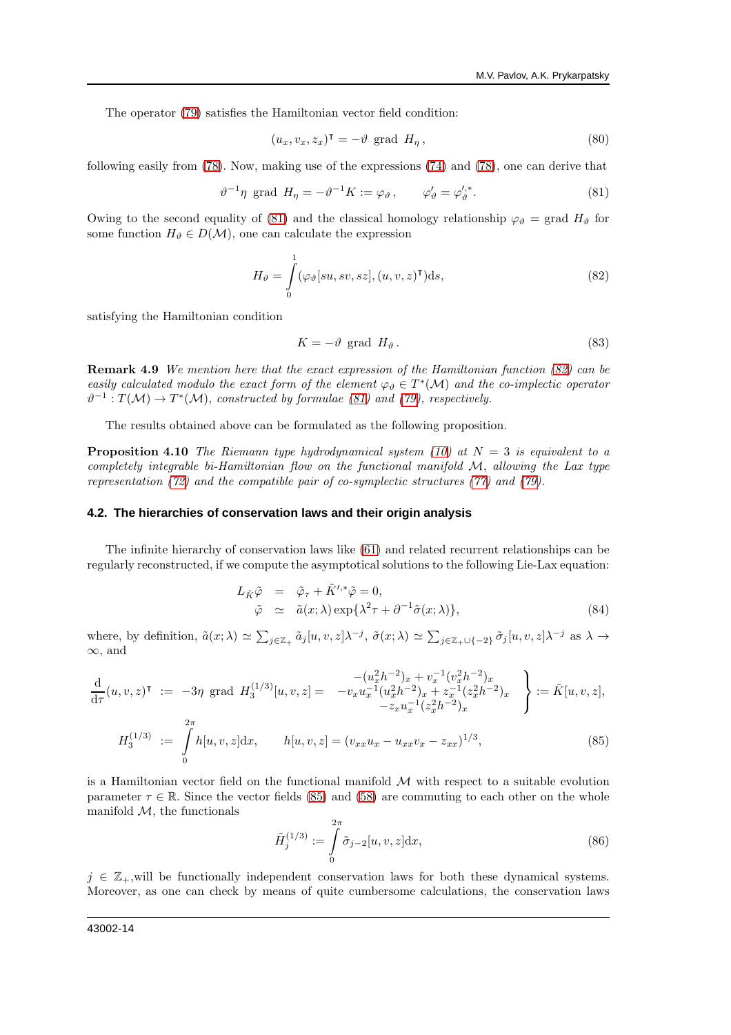The operator [\(79\)](#page-12-3) satisfies the Hamiltonian vector field condition:

$$
(u_x, v_x, z_x)^{\mathsf{T}} = -\vartheta \text{ grad } H_\eta, \qquad (80)
$$

following easily from [\(78\)](#page-12-4). Now, making use of the expressions [\(74\)](#page-12-5) and [\(78\)](#page-12-4), one can derive that

<span id="page-13-0"></span>
$$
\vartheta^{-1}\eta \text{ grad } H_{\eta} = -\vartheta^{-1}K := \varphi_{\vartheta} , \qquad \varphi_{\vartheta}' = \varphi_{\vartheta}'^{*} . \tag{81}
$$

Owing to the second equality of [\(81\)](#page-13-0) and the classical homology relationship  $\varphi_{\vartheta} = \text{grad } H_{\vartheta}$  for some function  $H_{\vartheta} \in D(\mathcal{M})$ , one can calculate the expression

<span id="page-13-1"></span>
$$
H_{\vartheta} = \int_{0}^{1} (\varphi_{\vartheta}[su,sv,sz], (u,v,z)^{\mathsf{T}})ds,
$$
\n(82)

satisfying the Hamiltonian condition

$$
K = -\vartheta \text{ grad } H_{\vartheta}.
$$
 (83)

Remark 4.9 We mention here that the exact expression of the Hamiltonian function [\(82\)](#page-13-1) can be easily calculated modulo the exact form of the element  $\varphi_{\vartheta} \in T^*(\mathcal{M})$  and the co-implectic operator  $\vartheta^{-1}: T(\mathcal{M}) \to T^*(\mathcal{M})$ , constructed by formulae [\(81\)](#page-13-0) and [\(79\)](#page-12-3), respectively.

The results obtained above can be formulated as the following proposition.

**Proposition 4.10** The Riemann type hydrodynamical system [\(10\)](#page-1-4) at  $N = 3$  is equivalent to a completely integrable bi-Hamiltonian flow on the functional manifold  $M$ , allowing the Lax type representation [\(72\)](#page-11-2) and the compatible pair of co-symplectic structures [\(77\)](#page-12-6) and [\(79\)](#page-12-3).

#### **4.2. The hierarchies of conservation laws and their origin analysis**

The infinite hierarchy of conservation laws like [\(61\)](#page-10-5) and related recurrent relationships can be regularly reconstructed, if we compute the asymptotical solutions to the following Lie-Lax equation:

$$
L_{\tilde{K}} \tilde{\varphi} = \tilde{\varphi}_{\tau} + \tilde{K}'^* \tilde{\varphi} = 0,
$$
  
\n
$$
\tilde{\varphi} \simeq \tilde{a}(x; \lambda) \exp{\lambda^2 \tau + \partial^{-1} \tilde{\sigma}(x; \lambda)},
$$
\n(84)

where, by definition,  $\tilde{a}(x; \lambda) \simeq \sum_{j \in \mathbb{Z}_+} \tilde{a}_j[u, v, z] \lambda^{-j}$ ,  $\tilde{\sigma}(x; \lambda) \simeq \sum_{j \in \mathbb{Z}_+ \cup \{-2\}} \tilde{\sigma}_j[u, v, z] \lambda^{-j}$  as  $\lambda \to \infty$ ∞, and

<span id="page-13-2"></span>
$$
\frac{\mathrm{d}}{\mathrm{d}\tau}(u,v,z)^{\mathsf{T}} := -3\eta \text{ grad } H_3^{(1/3)}[u,v,z] = -v_x u_x^{-1} (u_x^2 h^{-2})_x + v_x^{-1} (v_x^2 h^{-2})_x
$$
\n
$$
= -v_x u_x^{-1} (u_x^2 h^{-2})_x + z_x^{-1} (z_x^2 h^{-2})_x
$$
\n
$$
= \tilde{K}[u,v,z],
$$
\n
$$
H_3^{(1/3)} := \int_0^{2\pi} h[u,v,z] \mathrm{d}x, \qquad h[u,v,z] = (v_{xx} u_x - u_{xx} v_x - z_{xx})^{1/3},
$$
\n
$$
(85)
$$

is a Hamiltonian vector field on the functional manifold  $M$  with respect to a suitable evolution parameter  $\tau \in \mathbb{R}$ . Since the vector fields [\(85\)](#page-13-2) and [\(58\)](#page-8-0) are commuting to each other on the whole manifold  $M$ , the functionals

<span id="page-13-3"></span>
$$
\tilde{H}_j^{(1/3)} := \int\limits_0^{2\pi} \tilde{\sigma}_{j-2}[u, v, z] dx,
$$
\n(86)

 $j \in \mathbb{Z}_+$ , will be functionally independent conservation laws for both these dynamical systems. Moreover, as one can check by means of quite cumbersome calculations, the conservation laws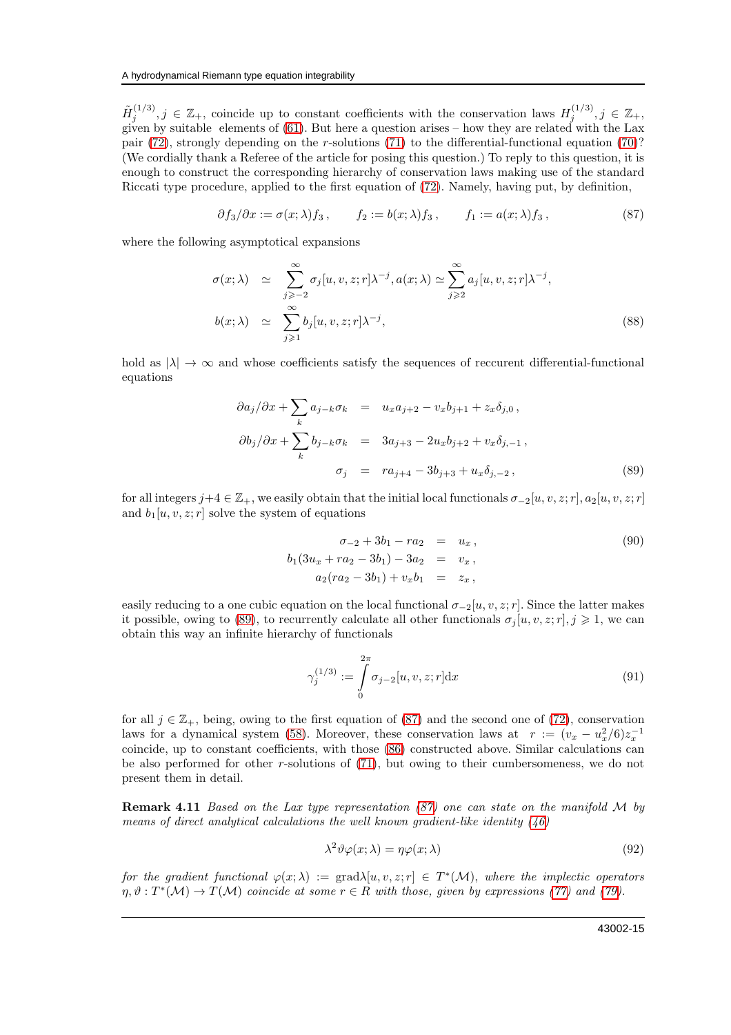$\tilde{H}_i^{(1/3)}$  $j_j^{(1/3)}$ ,  $j \in \mathbb{Z}_+$ , coincide up to constant coefficients with the conservation laws  $H_j^{(1/3)}$  $j^{(1/3)}$ ,  $j \in \mathbb{Z}_+,$ given by suitable elements of [\(61\)](#page-10-5). But here a question arises – how they are related with the Lax pair [\(72\)](#page-11-2), strongly depending on the r-solutions [\(71\)](#page-11-1) to the differential-functional equation [\(70\)](#page-11-3)? (We cordially thank a Referee of the article for posing this question.) To reply to this question, it is enough to construct the corresponding hierarchy of conservation laws making use of the standard Riccati type procedure, applied to the first equation of [\(72\)](#page-11-2). Namely, having put, by definition,

<span id="page-14-1"></span>
$$
\partial f_3/\partial x := \sigma(x;\lambda)f_3, \qquad f_2 := b(x;\lambda)f_3, \qquad f_1 := a(x;\lambda)f_3,\tag{87}
$$

where the following asymptotical expansions

$$
\sigma(x; \lambda) \simeq \sum_{j \geq -2}^{\infty} \sigma_j[u, v, z; r] \lambda^{-j}, a(x; \lambda) \simeq \sum_{j \geq 2}^{\infty} a_j[u, v, z; r] \lambda^{-j}, \nb(x; \lambda) \simeq \sum_{j \geq 1}^{\infty} b_j[u, v, z; r] \lambda^{-j},
$$
\n(88)

hold as  $|\lambda| \to \infty$  and whose coefficients satisfy the sequences of reccurent differential-functional equations

<span id="page-14-0"></span>
$$
\partial a_j / \partial x + \sum_k a_{j-k} \sigma_k = u_x a_{j+2} - v_x b_{j+1} + z_x \delta_{j,0},
$$
  

$$
\partial b_j / \partial x + \sum_k b_{j-k} \sigma_k = 3a_{j+3} - 2u_x b_{j+2} + v_x \delta_{j,-1},
$$
  

$$
\sigma_j = r a_{j+4} - 3b_{j+3} + u_x \delta_{j,-2},
$$
 (89)

for all integers  $j+4 \in \mathbb{Z}_+$ , we easily obtain that the initial local functionals  $\sigma_{-2}[u, v, z; r], a_2[u, v, z; r]$ and  $b_1[u, v, z; r]$  solve the system of equations

$$
\begin{aligned}\n\sigma_{-2} + 3b_1 - ra_2 &= u_x, \\
b_1(3u_x + ra_2 - 3b_1) - 3a_2 &= v_x, \\
a_2(ra_2 - 3b_1) + v_x b_1 &= z_x,\n\end{aligned}\n\tag{90}
$$

easily reducing to a one cubic equation on the local functional  $\sigma_{-2}[u, v, z; r]$ . Since the latter makes it possible, owing to [\(89\)](#page-14-0), to recurrently calculate all other functionals  $\sigma_i[u, v, z; r], j \geq 1$ , we can obtain this way an infinite hierarchy of functionals

$$
\gamma_j^{(1/3)} := \int\limits_0^{2\pi} \sigma_{j-2}[u, v, z; r] \, \mathrm{d}x \tag{91}
$$

for all  $j \in \mathbb{Z}_+$ , being, owing to the first equation of [\(87\)](#page-14-1) and the second one of [\(72\)](#page-11-2), conservation laws for a dynamical system [\(58\)](#page-8-0). Moreover, these conservation laws at  $r := (v_x - u_x^2/6)z_x^{-1}$ coincide, up to constant coefficients, with those [\(86\)](#page-13-3) constructed above. Similar calculations can be also performed for other r-solutions of [\(71\)](#page-11-1), but owing to their cumbersomeness, we do not present them in detail.

Remark 4.11 Based on the Lax type representation [\(87\)](#page-14-1) one can state on the manifold M by means of direct analytical calculations the well known gradient-like identity  $(46)$ 

$$
\lambda^2 \vartheta \varphi(x; \lambda) = \eta \varphi(x; \lambda) \tag{92}
$$

for the gradient functional  $\varphi(x;\lambda) := \text{grad}\lambda[u,v,z;r] \in T^*(\mathcal{M})$ , where the implectic operators  $\eta, \vartheta: T^*(\mathcal{M}) \to T(\mathcal{M})$  coincide at some  $r \in R$  with those, given by expressions [\(77\)](#page-12-6) and [\(79\)](#page-12-3).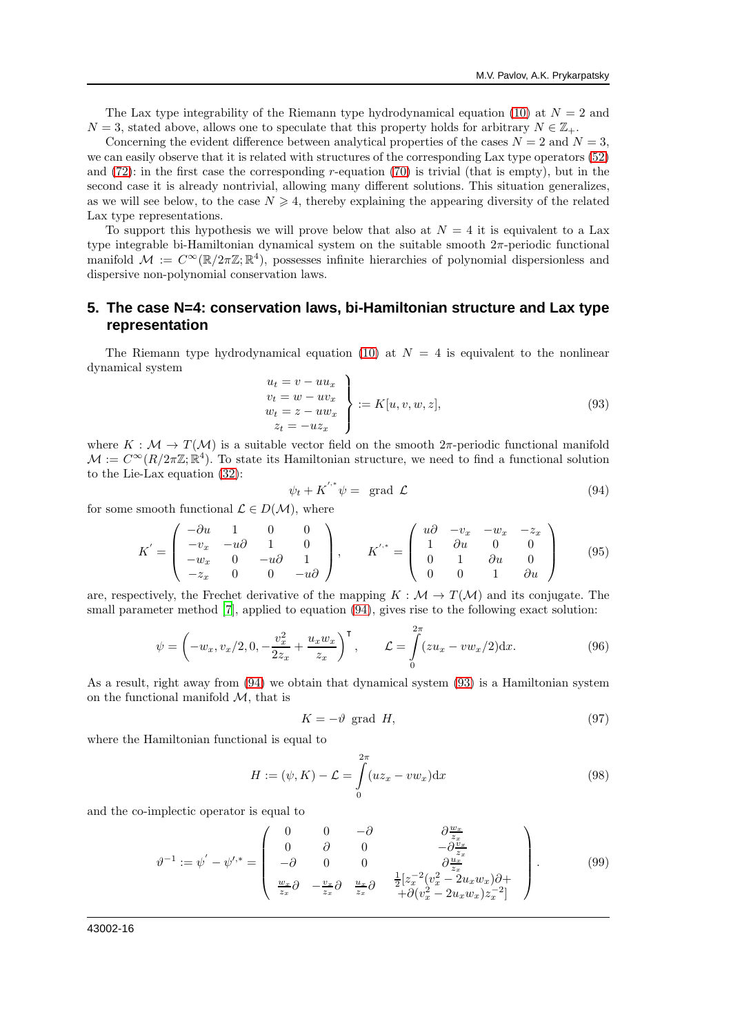The Lax type integrability of the Riemann type hydrodynamical equation [\(10\)](#page-1-4) at  $N = 2$  and  $N = 3$ , stated above, allows one to speculate that this property holds for arbitrary  $N \in \mathbb{Z}_+$ .

Concerning the evident difference between analytical properties of the cases  $N = 2$  and  $N = 3$ , we can easily observe that it is related with structures of the corresponding Lax type operators [\(52\)](#page-7-5) and  $(72)$ : in the first case the corresponding r-equation  $(70)$  is trivial (that is empty), but in the second case it is already nontrivial, allowing many different solutions. This situation generalizes, as we will see below, to the case  $N \geq 4$ , thereby explaining the appearing diversity of the related Lax type representations.

To support this hypothesis we will prove below that also at  $N = 4$  it is equivalent to a Lax type integrable bi-Hamiltonian dynamical system on the suitable smooth  $2\pi$ -periodic functional manifold  $M := C^{\infty}(\mathbb{R}/2\pi\mathbb{Z}; \mathbb{R}^4)$ , possesses infinite hierarchies of polynomial dispersionless and dispersive non-polynomial conservation laws.

## **5. The case N=4: conservation laws, bi-Hamiltonian structure and Lax type representation**

The Riemann type hydrodynamical equation [\(10\)](#page-1-4) at  $N = 4$  is equivalent to the nonlinear dynamical system

<span id="page-15-1"></span>
$$
\begin{aligned}\n u_t &= v - u u_x \\
 v_t &= w - u v_x \\
 w_t &= z - u w_x \\
 z_t &= -u z_x\n \end{aligned}\n \bigg\} := K[u, v, w, z],\n \tag{93}
$$

where  $K : \mathcal{M} \to T(\mathcal{M})$  is a suitable vector field on the smooth  $2\pi$ -periodic functional manifold  $\mathcal{M} := C^{\infty}(R/2\pi\mathbb{Z}; \mathbb{R}^{4})$ . To state its Hamiltonian structure, we need to find a functional solution to the Lie-Lax equation [\(32\)](#page-5-0):

<span id="page-15-0"></span>
$$
\psi_t + K^{'^*} \psi = \text{grad } \mathcal{L}
$$
\n(94)

for some smooth functional  $\mathcal{L} \in D(\mathcal{M})$ , where

$$
K' = \begin{pmatrix} -\partial u & 1 & 0 & 0 \\ -v_x & -u\partial & 1 & 0 \\ -w_x & 0 & -u\partial & 1 \\ -z_x & 0 & 0 & -u\partial \end{pmatrix}, \qquad K'^{*} = \begin{pmatrix} u\partial & -v_x & -w_x & -z_x \\ 1 & \partial u & 0 & 0 \\ 0 & 1 & \partial u & 0 \\ 0 & 0 & 1 & \partial u \end{pmatrix}
$$
(95)

are, respectively, the Frechet derivative of the mapping  $K : \mathcal{M} \to T(\mathcal{M})$  and its conjugate. The small parameter method [\[7\]](#page-19-8), applied to equation [\(94\)](#page-15-0), gives rise to the following exact solution:

$$
\psi = \left(-w_x, v_x/2, 0, -\frac{v_x^2}{2z_x} + \frac{u_x w_x}{z_x}\right)^{\mathsf{T}}, \qquad \mathcal{L} = \int_{0}^{2\pi} (zu_x - vw_x/2) \, dx. \tag{96}
$$

As a result, right away from [\(94\)](#page-15-0) we obtain that dynamical system [\(93\)](#page-15-1) is a Hamiltonian system on the functional manifold  $\mathcal{M}$ , that is

$$
K = -\vartheta \text{ grad } H,\tag{97}
$$

where the Hamiltonian functional is equal to

<span id="page-15-3"></span>
$$
H := (\psi, K) - \mathcal{L} = \int_{0}^{2\pi} (uz_x - vw_x) dx
$$
\n(98)

and the co-implectic operator is equal to

<span id="page-15-2"></span>
$$
\vartheta^{-1} := \psi' - \psi'^{*} = \begin{pmatrix} 0 & 0 & -\partial & \partial \frac{w_x}{z_x} \\ 0 & \partial & 0 & -\partial \frac{w_x}{z_x} \\ -\partial & 0 & 0 & \partial \frac{w_x}{z_x} \\ \frac{w_x}{z_x} \partial & -\frac{v_x}{z_x} \partial & \frac{u_x}{z_x} \partial & \frac{1}{2} [z_x^{-2} (v_x^2 - 2u_x w_x) \partial + \\ +\partial (v_x^2 - 2u_x w_x) z_x^{-2}] \end{pmatrix} . \tag{99}
$$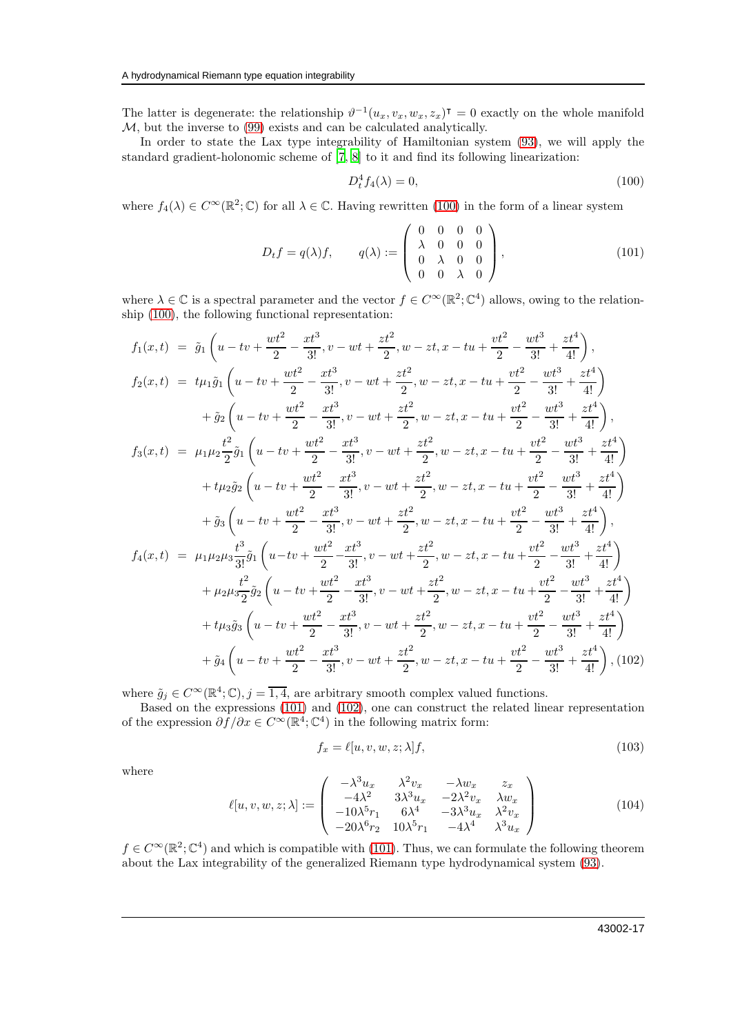The latter is degenerate: the relationship  $\vartheta^{-1}(u_x, v_x, w_x, z_x)$ <sup>T</sup> = 0 exactly on the whole manifold  $M$ , but the inverse to  $(99)$  exists and can be calculated analytically.

In order to state the Lax type integrability of Hamiltonian system [\(93\)](#page-15-1), we will apply the standard gradient-holonomic scheme of [\[7,](#page-19-8) [8\]](#page-19-10) to it and find its following linearization:

<span id="page-16-0"></span>
$$
D_t^4 f_4(\lambda) = 0,\t\t(100)
$$

where  $f_4(\lambda) \in C^{\infty}(\mathbb{R}^2;\mathbb{C})$  for all  $\lambda \in \mathbb{C}$ . Having rewritten [\(100\)](#page-16-0) in the form of a linear system

<span id="page-16-1"></span>
$$
D_t f = q(\lambda) f, \qquad q(\lambda) := \begin{pmatrix} 0 & 0 & 0 & 0 \\ \lambda & 0 & 0 & 0 \\ 0 & \lambda & 0 & 0 \\ 0 & 0 & \lambda & 0 \end{pmatrix}, \tag{101}
$$

where  $\lambda \in \mathbb{C}$  is a spectral parameter and the vector  $f \in C^{\infty}(\mathbb{R}^2; \mathbb{C}^4)$  allows, owing to the relationship [\(100\)](#page-16-0), the following functional representation:

<span id="page-16-2"></span>
$$
f_1(x,t) = \tilde{g}_1\left(u - tv + \frac{wt^2}{2} - \frac{xt^3}{3!}, v - wt + \frac{zt^2}{2}, w - zt, x - tu + \frac{vt^2}{2} - \frac{wt^3}{3!} + \frac{zt^4}{4!}\right),
$$
  
\n
$$
f_2(x,t) = t\mu_1\tilde{g}_1\left(u - tv + \frac{wt^2}{2} - \frac{xt^3}{3!}, v - wt + \frac{zt^2}{2}, w - zt, x - tu + \frac{vt^2}{2} - \frac{wt^3}{3!} + \frac{zt^4}{4!}\right)
$$
  
\n
$$
+ \tilde{g}_2\left(u - tv + \frac{wt^2}{2} - \frac{xt^3}{3!}, v - wt + \frac{zt^2}{2}, w - zt, x - tu + \frac{vt^2}{2} - \frac{wt^3}{3!} + \frac{zt^4}{4!}\right),
$$
  
\n
$$
f_3(x,t) = \mu_1\mu_2\frac{t^2}{2}\tilde{g}_1\left(u - tv + \frac{wt^2}{2} - \frac{xt^3}{3!}, v - wt + \frac{zt^2}{2}, w - zt, x - tu + \frac{vt^2}{2} - \frac{wt^3}{3!} + \frac{zt^4}{4!}\right)
$$
  
\n
$$
+ t\mu_2\tilde{g}_2\left(u - tv + \frac{wt^2}{2} - \frac{xt^3}{3!}, v - wt + \frac{zt^2}{2}, w - zt, x - tu + \frac{vt^2}{2} - \frac{wt^3}{3!} + \frac{zt^4}{4!}\right)
$$
  
\n
$$
+ \tilde{g}_3\left(u - tv + \frac{wt^2}{2} - \frac{xt^3}{3!}, v - wt + \frac{zt^2}{2}, w - zt, x - tu + \frac{vt^2}{2} - \frac{wt^3}{3!} + \frac{zt^4}{4!}\right),
$$
  
\n
$$
f_4(x,t) = \mu_1\mu_2\mu_3\frac{t^3}{3!}\tilde{g}_1\left(u - tv + \frac{wt^2}{2} - \frac{xt^3}{3!}, v - wt + \frac{zt^2}{2}, w - zt, x - tu + \frac{vt^2}{2} - \frac{wt^3}{3!} + \frac{zt^4}{4
$$

where  $\tilde{g}_j \in C^{\infty}(\mathbb{R}^4; \mathbb{C}), j = \overline{1, 4}$ , are arbitrary smooth complex valued functions.

Based on the expressions [\(101\)](#page-16-1) and [\(102\)](#page-16-2), one can construct the related linear representation of the expression  $\partial f / \partial x \in C^{\infty}(\mathbb{R}^4; \mathbb{C}^4)$  in the following matrix form:

$$
f_x = \ell[u, v, w, z; \lambda]f,\tag{103}
$$

where

$$
\ell[u, v, w, z; \lambda] := \begin{pmatrix} -\lambda^3 u_x & \lambda^2 v_x & -\lambda w_x & z_x \\ -4\lambda^2 & 3\lambda^3 u_x & -2\lambda^2 v_x & \lambda w_x \\ -10\lambda^5 r_1 & 6\lambda^4 & -3\lambda^3 u_x & \lambda^2 v_x \\ -20\lambda^6 r_2 & 10\lambda^5 r_1 & -4\lambda^4 & \lambda^3 u_x \end{pmatrix}
$$
(104)

 $f \in C^{\infty}(\mathbb{R}^2;\mathbb{C}^4)$  and which is compatible with [\(101\)](#page-16-1). Thus, we can formulate the following theorem about the Lax integrability of the generalized Riemann type hydrodynamical system [\(93\)](#page-15-1).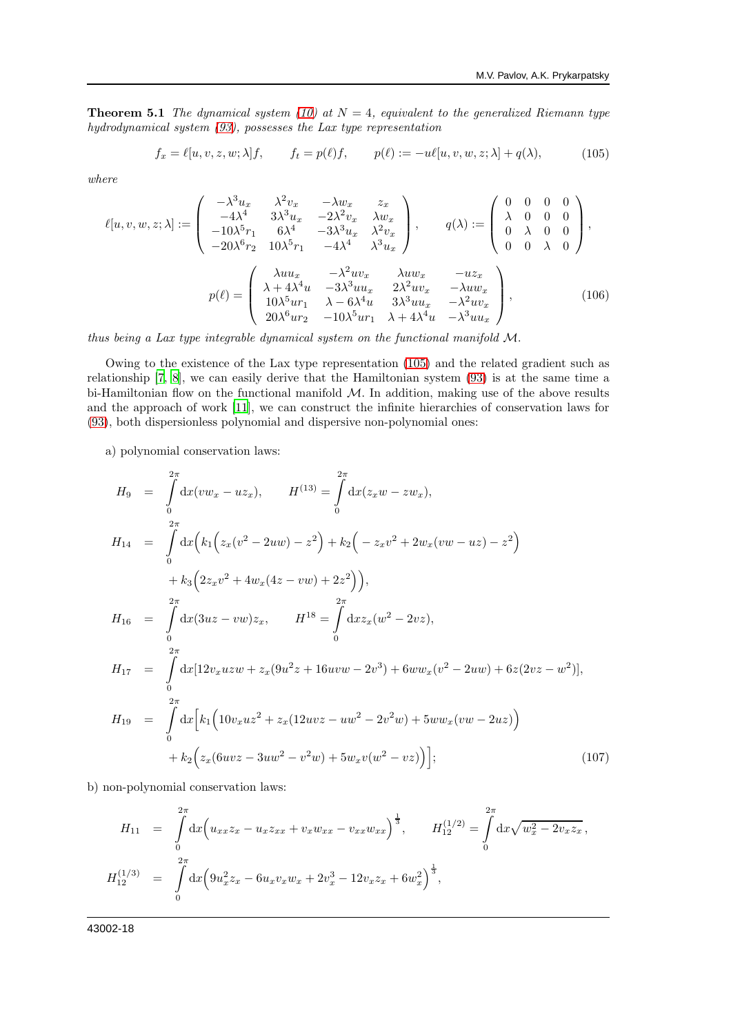**Theorem 5.1** The dynamical system [\(10\)](#page-1-4) at  $N = 4$ , equivalent to the generalized Riemann type hydrodynamical system [\(93\)](#page-15-1), possesses the Lax type representation

<span id="page-17-0"></span>
$$
f_x = \ell[u, v, z, w; \lambda]f, \qquad f_t = p(\ell)f, \qquad p(\ell) := -u\ell[u, v, w, z; \lambda] + q(\lambda), \tag{105}
$$

where

$$
\ell[u, v, w, z; \lambda] := \begin{pmatrix} -\lambda^{3}u_{x} & \lambda^{2}v_{x} & -\lambda w_{x} & z_{x} \\ -4\lambda^{4} & 3\lambda^{3}u_{x} & -2\lambda^{2}v_{x} & \lambda w_{x} \\ -10\lambda^{5}r_{1} & 6\lambda^{4} & -3\lambda^{3}u_{x} & \lambda^{2}v_{x} \\ -20\lambda^{6}r_{2} & 10\lambda^{5}r_{1} & -4\lambda^{4} & \lambda^{3}u_{x} \end{pmatrix}, \qquad q(\lambda) := \begin{pmatrix} 0 & 0 & 0 & 0 \\ \lambda & 0 & 0 & 0 \\ 0 & \lambda & 0 & 0 \\ 0 & 0 & \lambda & 0 \end{pmatrix},
$$

$$
p(\ell) = \begin{pmatrix} \lambda u u_{x} & -\lambda^{2}u v_{x} & \lambda u w_{x} & -u z_{x} \\ \lambda + 4\lambda^{4}u & -3\lambda^{3}u u_{x} & 2\lambda^{2}u v_{x} & -\lambda u w_{x} \\ 10\lambda^{5}u r_{1} & \lambda - 6\lambda^{4}u & 3\lambda^{3}u u_{x} & -\lambda^{2}u v_{x} \\ 20\lambda^{6}u r_{2} & -10\lambda^{5}u r_{1} & \lambda + 4\lambda^{4}u & -\lambda^{3}u u_{x} \end{pmatrix}, \qquad (106)
$$

thus being a Lax type integrable dynamical system on the functional manifold M.

Owing to the existence of the Lax type representation [\(105\)](#page-17-0) and the related gradient such as relationship [\[7,](#page-19-8) [8](#page-19-10)], we can easily derive that the Hamiltonian system [\(93\)](#page-15-1) is at the same time a bi-Hamiltonian flow on the functional manifold  $M$ . In addition, making use of the above results and the approach of work [\[11\]](#page-19-11), we can construct the infinite hierarchies of conservation laws for [\(93\)](#page-15-1), both dispersionless polynomial and dispersive non-polynomial ones:

a) polynomial conservation laws:

$$
H_9 = \int_0^{2\pi} dx(vw_x - uz_x), \qquad H^{(13)} = \int_0^{2\pi} dx(z_xw - zw_x),
$$
  
\n
$$
H_{14} = \int_0^{2\pi} dx \Big( k_1 \Big( z_x (v^2 - 2uw) - z^2 \Big) + k_2 \Big( - z_x v^2 + 2w_x (vw - uz) - z^2 \Big) + k_3 \Big( 2z_x v^2 + 4w_x (4z - vw) + 2z^2 \Big) \Big),
$$
  
\n
$$
H_{16} = \int_0^{2\pi} dx (3uz - vw)z_x, \qquad H^{18} = \int_0^{2\pi} dx z_x (w^2 - 2vz),
$$
  
\n
$$
H_{17} = \int_0^{2\pi} dx [12v_x uzw + z_x (9u^2z + 16uvw - 2v^3) + 6ww_x (v^2 - 2uw) + 6z (2vz - w^2)],
$$
  
\n
$$
H_{19} = \int_0^{2\pi} dx \Big[ k_1 \Big( 10v_x u z^2 + z_x (12uvz - uw^2 - 2v^2w) + 5ww_x (vw - 2uz) \Big) + k_2 \Big( z_x (6uvz - 3uw^2 - v^2w) + 5w_x v(w^2 - vz) \Big) \Big]; \tag{107}
$$

b) non-polynomial conservation laws:

$$
H_{11} = \int_{0}^{2\pi} dx \Big( u_{xx} z_x - u_x z_{xx} + v_x w_{xx} - v_{xx} w_{xx} \Big)^{\frac{1}{3}}, \qquad H_{12}^{(1/2)} = \int_{0}^{2\pi} dx \sqrt{w_x^2 - 2v_x z_x},
$$
  

$$
H_{12}^{(1/3)} = \int_{0}^{2\pi} dx \Big( 9u_x^2 z_x - 6u_x v_x w_x + 2v_x^3 - 12v_x z_x + 6w_x^2 \Big)^{\frac{1}{3}},
$$

43002-18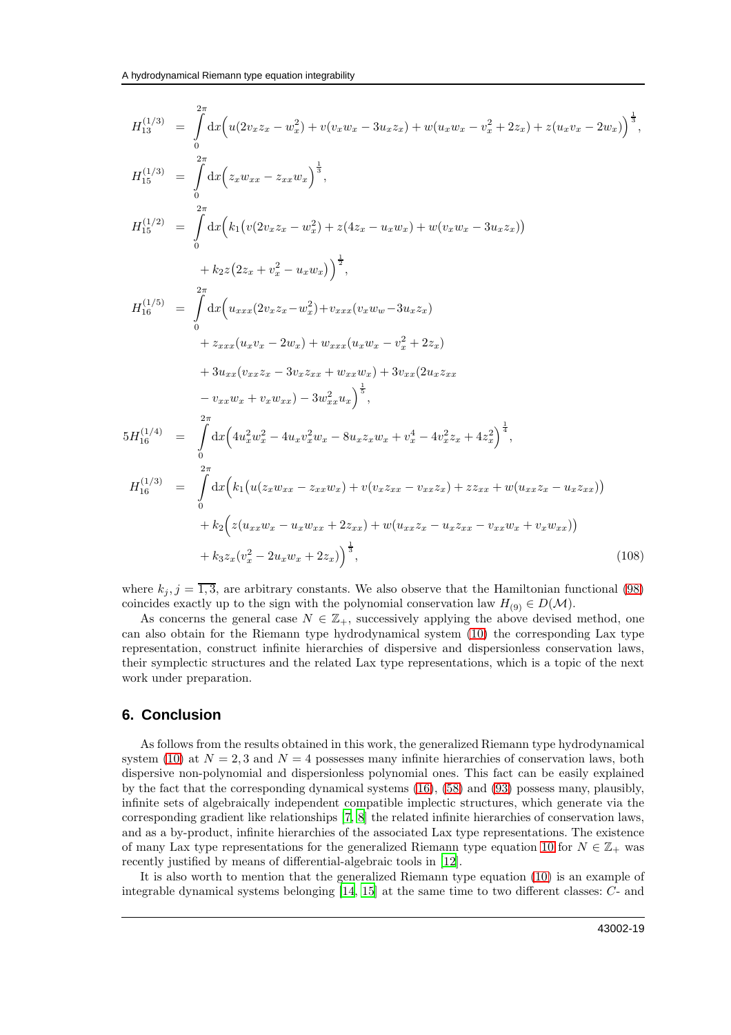$$
H_{13}^{(1/3)} = \int_{0}^{2\pi} dx \Big( u(2v_x z_x - w_x^2) + v(v_x w_x - 3u_x z_x) + w(u_x w_x - v_x^2 + 2z_x) + z(u_x v_x - 2w_x) \Big)^{\frac{1}{3}},
$$
  
\n
$$
H_{15}^{(1/3)} = \int_{0}^{2\pi} dx \Big( z_x w_{xx} - z_{xx} w_x \Big)^{\frac{1}{3}},
$$
  
\n
$$
H_{15}^{(1/2)} = \int_{0}^{2\pi} dx \Big( k_1 \big( v(2v_x z_x - w_x^2) + z(4z_x - u_x w_x) + w(v_x w_x - 3u_x z_x) \big) + k_2 z (2z_x + v_x^2 - u_x w_x) \Big)^{\frac{1}{2}},
$$
  
\n
$$
H_{16}^{(1/5)} = \int_{0}^{2\pi} dx \Big( u_{xxx} (2v_x z_x - w_x^2) + v_{xxx} (v_x w_x - 3u_x z_x) + z_{xxx} (u_x v_x - v_x^2 + 2z_x) + 3u_{xx} (v_x z_x - 3v_x z_x_x + w_{xxx} w_x) + 3v_{xx} (2u_x z_x - 2w_x + v_x w_x - 3w_x^2 + 4v_x^2 z_x + 4z_x^2) \Big)^{\frac{1}{3}},
$$
  
\n
$$
5H_{16}^{(1/4)} = \int_{0}^{2\pi} dx \Big( 4u_x^2 w_x^2 - 4u_x v_x^2 w_x - 8u_x z_x w_x + v_x^4 - 4v_x^2 z_x + 4z_x^2 \Big)^{\frac{1}{4}},
$$
  
\n
$$
H_{16}^{(1/3)} = \int_{0}^{2\pi} dx \Big( k_1 \big( u(z_x w_x - z_x x w_x) + v(v_x z_x - v_{xx} z_x) + z z_x x + w(u_{xx} z_x - u_x z_x x) \big) + k_2 \Big( z(u_x x w_x - u_x w_x + 2z_x x) + w(u_{xx} z_x - u_x z_x - v_{xx} w_x + v_x w_x x) \Big) + k_3 z_x (v_x^2 - 2u_x w_x + 2z_x x) \Big)
$$
  
\n(108)

where  $k_j$ ,  $j = \overline{1,3}$ , are arbitrary constants. We also observe that the Hamiltonian functional [\(98\)](#page-15-3) coincides exactly up to the sign with the polynomial conservation law  $H_{(9)} \in D(\mathcal{M})$ .

As concerns the general case  $N \in \mathbb{Z}_+$ , successively applying the above devised method, one can also obtain for the Riemann type hydrodynamical system [\(10\)](#page-1-4) the corresponding Lax type representation, construct infinite hierarchies of dispersive and dispersionless conservation laws, their symplectic structures and the related Lax type representations, which is a topic of the next work under preparation.

#### **6. Conclusion**

As follows from the results obtained in this work, the generalized Riemann type hydrodynamical system [\(10\)](#page-1-4) at  $N = 2, 3$  and  $N = 4$  possesses many infinite hierarchies of conservation laws, both dispersive non-polynomial and dispersionless polynomial ones. This fact can be easily explained by the fact that the corresponding dynamical systems [\(16\)](#page-3-0), [\(58\)](#page-8-0) and [\(93\)](#page-15-1) possess many, plausibly, infinite sets of algebraically independent compatible implectic structures, which generate via the corresponding gradient like relationships [\[7,](#page-19-8) [8](#page-19-10)] the related infinite hierarchies of conservation laws, and as a by-product, infinite hierarchies of the associated Lax type representations. The existence of many Lax type representations for the generalized Riemann type equation [10](#page-1-4) for  $N \in \mathbb{Z}_+$  was recently justified by means of differential-algebraic tools in [\[12\]](#page-19-12).

It is also worth to mention that the generalized Riemann type equation [\(10\)](#page-1-4) is an example of integrable dynamical systems belonging [\[14,](#page-19-13) [15\]](#page-19-14) at the same time to two different classes: C- and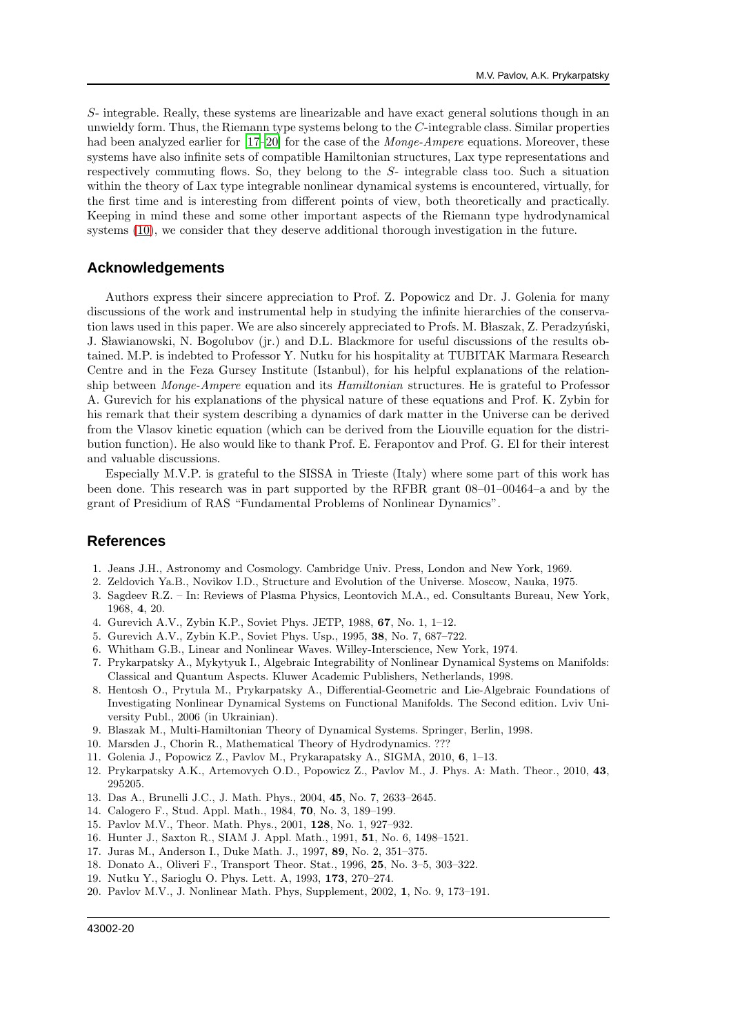S- integrable. Really, these systems are linearizable and have exact general solutions though in an unwieldy form. Thus, the Riemann type systems belong to the C-integrable class. Similar properties had been analyzed earlier for [\[17](#page-19-15)[–20\]](#page-19-16) for the case of the *Monge-Ampere* equations. Moreover, these systems have also infinite sets of compatible Hamiltonian structures, Lax type representations and respectively commuting flows. So, they belong to the S- integrable class too. Such a situation within the theory of Lax type integrable nonlinear dynamical systems is encountered, virtually, for the first time and is interesting from different points of view, both theoretically and practically. Keeping in mind these and some other important aspects of the Riemann type hydrodynamical systems [\(10\)](#page-1-4), we consider that they deserve additional thorough investigation in the future.

#### **Acknowledgements**

Authors express their sincere appreciation to Prof. Z. Popowicz and Dr. J. Golenia for many discussions of the work and instrumental help in studying the infinite hierarchies of the conservation laws used in this paper. We are also sincerely appreciated to Profs. M. Blaszak, Z. Peradzyński, J. Sławianowski, N. Bogolubov (jr.) and D.L. Blackmore for useful discussions of the results obtained. M.P. is indebted to Professor Y. Nutku for his hospitality at TUBITAK Marmara Research Centre and in the Feza Gursey Institute (Istanbul), for his helpful explanations of the relationship between Monge-Ampere equation and its Hamiltonian structures. He is grateful to Professor A. Gurevich for his explanations of the physical nature of these equations and Prof. K. Zybin for his remark that their system describing a dynamics of dark matter in the Universe can be derived from the Vlasov kinetic equation (which can be derived from the Liouville equation for the distribution function). He also would like to thank Prof. E. Ferapontov and Prof. G. El for their interest and valuable discussions.

Especially M.V.P. is grateful to the SISSA in Trieste (Italy) where some part of this work has been done. This research was in part supported by the RFBR grant 08–01–00464–a and by the grant of Presidium of RAS "Fundamental Problems of Nonlinear Dynamics".

#### **References**

- <span id="page-19-0"></span>1. Jeans J.H., Astronomy and Cosmology. Cambridge Univ. Press, London and New York, 1969.
- 2. Zeldovich Ya.B., Novikov I.D., Structure and Evolution of the Universe. Moscow, Nauka, 1975.
- <span id="page-19-1"></span>3. Sagdeev R.Z. – In: Reviews of Plasma Physics, Leontovich M.A., ed. Consultants Bureau, New York, 1968, 4, 20.
- <span id="page-19-2"></span>4. Gurevich A.V., Zybin K.P., Soviet Phys. JETP, 1988, 67, No. 1, 1–12.
- <span id="page-19-3"></span>5. Gurevich A.V., Zybin K.P., Soviet Phys. Usp., 1995, 38, No. 7, 687–722.
- <span id="page-19-4"></span>6. Whitham G.B., Linear and Nonlinear Waves. Willey-Interscience, New York, 1974.
- <span id="page-19-8"></span>7. Prykarpatsky A., Mykytyuk I., Algebraic Integrability of Nonlinear Dynamical Systems on Manifolds: Classical and Quantum Aspects. Kluwer Academic Publishers, Netherlands, 1998.
- <span id="page-19-10"></span>8. Hentosh O., Prytula M., Prykarpatsky A., Differential-Geometric and Lie-Algebraic Foundations of Investigating Nonlinear Dynamical Systems on Functional Manifolds. The Second edition. Lviv University Publ., 2006 (in Ukrainian).
- <span id="page-19-9"></span>9. Blaszak M., Multi-Hamiltonian Theory of Dynamical Systems. Springer, Berlin, 1998.
- <span id="page-19-5"></span>10. Marsden J., Chorin R., Mathematical Theory of Hydrodynamics. ???
- <span id="page-19-11"></span>11. Golenia J., Popowicz Z., Pavlov M., Prykarapatsky A., SIGMA, 2010, 6, 1–13.
- <span id="page-19-12"></span>12. Prykarpatsky A.K., Artemovych O.D., Popowicz Z., Pavlov M., J. Phys. A: Math. Theor., 2010, 43, 295205.
- <span id="page-19-6"></span>13. Das A., Brunelli J.C., J. Math. Phys., 2004, 45, No. 7, 2633–2645.
- <span id="page-19-13"></span>14. Calogero F., Stud. Appl. Math., 1984, 70, No. 3, 189–199.
- <span id="page-19-14"></span>15. Pavlov M.V., Theor. Math. Phys., 2001, 128, No. 1, 927–932.
- <span id="page-19-7"></span>16. Hunter J., Saxton R., SIAM J. Appl. Math., 1991, 51, No. 6, 1498–1521.
- <span id="page-19-15"></span>17. Juras M., Anderson I., Duke Math. J., 1997, 89, No. 2, 351–375.
- 18. Donato A., Oliveri F., Transport Theor. Stat., 1996, 25, No. 3–5, 303–322.
- 19. Nutku Y., Sarioglu O. Phys. Lett. A, 1993, 173, 270–274.
- <span id="page-19-16"></span>20. Pavlov M.V., J. Nonlinear Math. Phys, Supplement, 2002, 1, No. 9, 173–191.